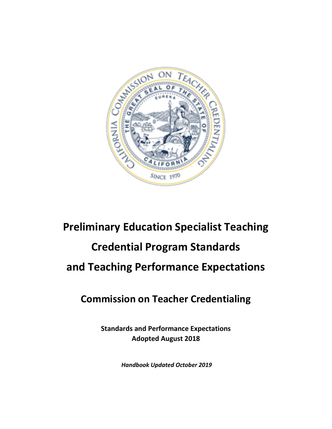

# **Preliminary Education Specialist Teaching Credential Program Standards and Teaching Performance Expectations**

# **Commission on Teacher Credentialing**

**Standards and Performance Expectations Adopted August 2018**

*Handbook Updated October 2019*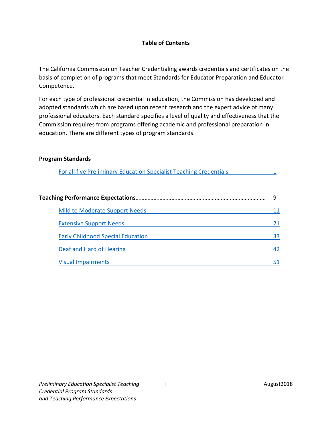#### **Table of Contents**

The California Commission on Teacher Credentialing awards credentials and certificates on the basis of completion of programs that meet Standards for Educator Preparation and Educator Competence.

For each type of professional credential in education, the Commission has developed and adopted standards which are based upon recent research and the expert advice of many professional educators. Each standard specifies a level of quality and effectiveness that the Commission requires from programs offering academic and professional preparation in education. There are different types of program standards.

#### **Program Standards**

| For all five Preliminary Education Specialist Teaching Credentials |    |
|--------------------------------------------------------------------|----|
|                                                                    | 9  |
| <b>Mild to Moderate Support Needs</b>                              | 11 |
| <b>Extensive Support Needs</b>                                     | 21 |
| <b>Early Childhood Special Education</b>                           | 33 |
| Deaf and Hard of Hearing                                           | 42 |
| <b>Visual Impairments</b>                                          | 51 |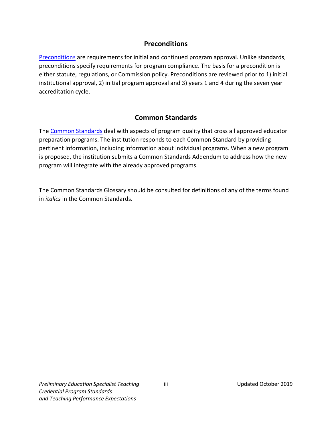# **Preconditions**

[Preconditions](https://www.ctc.ca.gov/educator-prep/stds-preconditions) are requirements for initial and continued program approval. Unlike standards, preconditions specify requirements for program compliance. The basis for a precondition is either statute, regulations, or Commission policy. Preconditions are reviewed prior to 1) initial institutional approval, 2) initial program approval and 3) years 1 and 4 during the seven year accreditation cycle.

# **Common Standards**

The [Common Standards](https://www.ctc.ca.gov/educator-prep/stds-common) deal with aspects of program quality that cross all approved educator preparation programs. The institution responds to each Common Standard by providing pertinent information, including information about individual programs. When a new program is proposed, the institution submits a Common Standards Addendum to address how the new program will integrate with the already approved programs.

The Common Standards Glossary should be consulted for definitions of any of the terms found in *italics* in the Common Standards.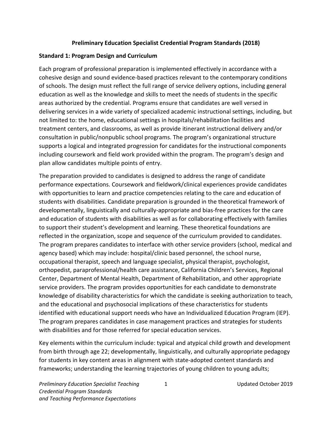#### **Preliminary Education Specialist Credential Program Standards (2018)**

#### <span id="page-4-0"></span>**Standard 1: Program Design and Curriculum**

Each program of professional preparation is implemented effectively in accordance with a cohesive design and sound evidence-based practices relevant to the contemporary conditions of schools. The design must reflect the full range of service delivery options, including general education as well as the knowledge and skills to meet the needs of students in the specific areas authorized by the credential. Programs ensure that candidates are well versed in delivering services in a wide variety of specialized academic instructional settings, including, but not limited to: the home, educational settings in hospitals/rehabilitation facilities and treatment centers, and classrooms, as well as provide itinerant instructional delivery and/or consultation in public/nonpublic school programs. The program's organizational structure supports a logical and integrated progression for candidates for the instructional components including coursework and field work provided within the program. The program's design and plan allow candidates multiple points of entry.

The preparation provided to candidates is designed to address the range of candidate performance expectations. Coursework and fieldwork/clinical experiences provide candidates with opportunities to learn and practice competencies relating to the care and education of students with disabilities. Candidate preparation is grounded in the theoretical framework of developmentally, linguistically and culturally-appropriate and bias-free practices for the care and education of students with disabilities as well as for collaborating effectively with families to support their student's development and learning. These theoretical foundations are reflected in the organization, scope and sequence of the curriculum provided to candidates. The program prepares candidates to interface with other service providers (school, medical and agency based) which may include: hospital/clinic based personnel, the school nurse, occupational therapist, speech and language specialist, physical therapist, psychologist, orthopedist, paraprofessional/health care assistance, California Children's Services, Regional Center, Department of Mental Health, Department of Rehabilitation, and other appropriate service providers. The program provides opportunities for each candidate to demonstrate knowledge of disability characteristics for which the candidate is seeking authorization to teach, and the educational and psychosocial implications of these characteristics for students identified with educational support needs who have an Individualized Education Program (IEP). The program prepares candidates in case management practices and strategies for students with disabilities and for those referred for special education services.

Key elements within the curriculum include: typical and atypical child growth and development from birth through age 22; developmentally, linguistically, and culturally appropriate pedagogy for students in key content areas in alignment with state-adopted content standards and frameworks; understanding the learning trajectories of young children to young adults;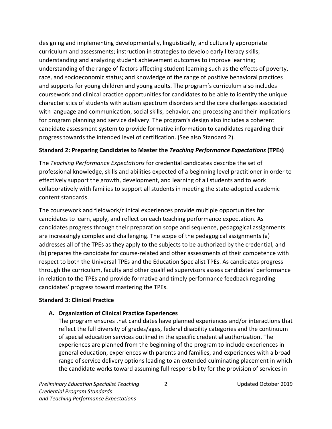designing and implementing developmentally, linguistically, and culturally appropriate curriculum and assessments; instruction in strategies to develop early literacy skills; understanding and analyzing student achievement outcomes to improve learning; understanding of the range of factors affecting student learning such as the effects of poverty, race, and socioeconomic status; and knowledge of the range of positive behavioral practices and supports for young children and young adults. The program's curriculum also includes coursework and clinical practice opportunities for candidates to be able to identify the unique characteristics of students with autism spectrum disorders and the core challenges associated with language and communication, social skills, behavior, and processing and their implications for program planning and service delivery. The program's design also includes a coherent candidate assessment system to provide formative information to candidates regarding their progress towards the intended level of certification. (See also Standard 2).

#### **Standard 2: Preparing Candidates to Master the** *Teaching Performance Expectations* **(TPEs)**

The *Teaching Performance Expectations* for credential candidates describe the set of professional knowledge, skills and abilities expected of a beginning level practitioner in order to effectively support the growth, development, and learning of all students and to work collaboratively with families to support all students in meeting the state-adopted academic content standards.

The coursework and fieldwork/clinical experiences provide multiple opportunities for candidates to learn, apply, and reflect on each teaching performance expectation. As candidates progress through their preparation scope and sequence, pedagogical assignments are increasingly complex and challenging. The scope of the pedagogical assignments (a) addresses all of the TPEs as they apply to the subjects to be authorized by the credential, and (b) prepares the candidate for course-related and other assessments of their competence with respect to both the Universal TPEs and the Education Specialist TPEs. As candidates progress through the curriculum, faculty and other qualified supervisors assess candidates' performance in relation to the TPEs and provide formative and timely performance feedback regarding candidates' progress toward mastering the TPEs.

#### **Standard 3: Clinical Practice**

#### **A. Organization of Clinical Practice Experiences**

The program ensures that candidates have planned experiences and/or interactions that reflect the full diversity of grades/ages, federal disability categories and the continuum of special education services outlined in the specific credential authorization. The experiences are planned from the beginning of the program to include experiences in general education, experiences with parents and families, and experiences with a broad range of service delivery options leading to an extended culminating placement in which the candidate works toward assuming full responsibility for the provision of services in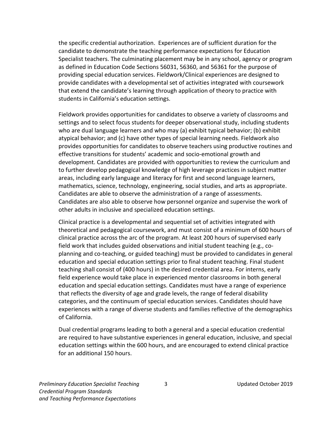the specific credential authorization. Experiences are of sufficient duration for the candidate to demonstrate the teaching performance expectations for Education Specialist teachers. The culminating placement may be in any school, agency or program as defined in Education Code Sections 56031, 56360, and 56361 for the purpose of providing special education services. Fieldwork/Clinical experiences are designed to provide candidates with a developmental set of activities integrated with coursework that extend the candidate's learning through application of theory to practice with students in California's education settings.

Fieldwork provides opportunities for candidates to observe a variety of classrooms and settings and to select focus students for deeper observational study, including students who are dual language learners and who may (a) exhibit typical behavior; (b) exhibit atypical behavior; and (c) have other types of special learning needs. Fieldwork also provides opportunities for candidates to observe teachers using productive routines and effective transitions for students' academic and socio-emotional growth and development. Candidates are provided with opportunities to review the curriculum and to further develop pedagogical knowledge of high leverage practices in subject matter areas, including early language and literacy for first and second language learners, mathematics, science, technology, engineering, social studies, and arts as appropriate. Candidates are able to observe the administration of a range of assessments. Candidates are also able to observe how personnel organize and supervise the work of other adults in inclusive and specialized education settings.

Clinical practice is a developmental and sequential set of activities integrated with theoretical and pedagogical coursework, and must consist of a minimum of 600 hours of clinical practice across the arc of the program. At least 200 hours of supervised early field work that includes guided observations and initial student teaching (e.g., coplanning and co-teaching, or guided teaching) must be provided to candidates in general education and special education settings prior to final student teaching. Final student teaching shall consist of (400 hours) in the desired credential area. For interns, early field experience would take place in experienced mentor classrooms in both general education and special education settings. Candidates must have a range of experience that reflects the diversity of age and grade levels, the range of federal disability categories, and the continuum of special education services. Candidates should have experiences with a range of diverse students and families reflective of the demographics of California.

Dual credential programs leading to both a general and a special education credential are required to have substantive experiences in general education, inclusive, and special education settings within the 600 hours, and are encouraged to extend clinical practice for an additional 150 hours.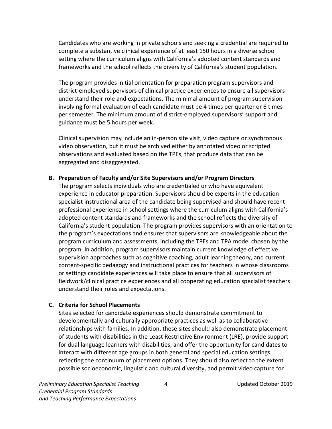Candidates who are working in private schools and seeking a credential are required to complete a substantive clinical experience of at least 150 hours in a diverse school setting where the curriculum aligns with California's adopted content standards and frameworks and the school reflects the diversity of California's student population.

The program provides initial orientation for preparation program supervisors and district-employed supervisors of clinical practice experiences to ensure all supervisors understand their role and expectations. The minimal amount of program supervision involving formal evaluation of each candidate must be 4 times per quarter or 6 times per semester. The minimum amount of district-employed supervisors' support and guidance must be 5 hours per week.

Clinical supervision may include an in-person site visit, video capture or synchronous video observation, but it must be archived either by annotated video or scripted observations and evaluated based on the TPEs, that produce data that can be aggregated and disaggregated.

#### **B. Preparation of Faculty and/or Site Supervisors and/or Program Directors**

The program selects individuals who are credentialed or who have equivalent experience in educator preparation. Supervisors should be experts in the education specialist instructional area of the candidate being supervised and should have recent professional experience in school settings where the curriculum aligns with California's adopted content standards and frameworks and the school reflects the diversity of California's student population. The program provides supervisors with an orientation to the program's expectations and ensures that supervisors are knowledgeable about the program curriculum and assessments, including the TPEs and TPA model chosen by the program. In addition, program supervisors maintain current knowledge of effective supervision approaches such as cognitive coaching, adult learning theory, and current content-specific pedagogy and instructional practices for teachers in whose classrooms or settings candidate experiences will take place to ensure that all supervisors of fieldwork/clinical practice experiences and all cooperating education specialist teachers understand their roles and expectations.

#### **C. Criteria for School Placements**

Sites selected for candidate experiences should demonstrate commitment to developmentally and culturally appropriate practices as well as to collaborative relationships with families. In addition, these sites should also demonstrate placement of students with disabilities in the Least Restrictive Environment (LRE), provide support for dual language learners with disabilities, and offer the opportunity for candidates to interact with different age groups in both general and special education settings reflecting the continuum of placement options. They should also reflect to the extent possible socioeconomic, linguistic and cultural diversity, and permit video capture for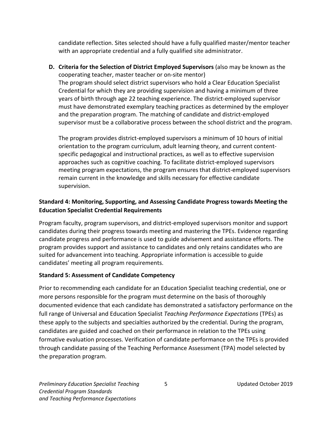candidate reflection. Sites selected should have a fully qualified master/mentor teacher with an appropriate credential and a fully qualified site administrator.

**D. Criteria for the Selection of District Employed Supervisors** (also may be known as the cooperating teacher, master teacher or on-site mentor) The program should select district supervisors who hold a Clear Education Specialist Credential for which they are providing supervision and having a minimum of three years of birth through age 22 teaching experience. The district-employed supervisor must have demonstrated exemplary teaching practices as determined by the employer and the preparation program. The matching of candidate and district-employed supervisor must be a collaborative process between the school district and the program.

The program provides district-employed supervisors a minimum of 10 hours of initial orientation to the program curriculum, adult learning theory, and current contentspecific pedagogical and instructional practices, as well as to effective supervision approaches such as cognitive coaching. To facilitate district-employed supervisors meeting program expectations, the program ensures that district-employed supervisors remain current in the knowledge and skills necessary for effective candidate supervision.

# **Standard 4: Monitoring, Supporting, and Assessing Candidate Progress towards Meeting the Education Specialist Credential Requirements**

Program faculty, program supervisors, and district-employed supervisors monitor and support candidates during their progress towards meeting and mastering the TPEs. Evidence regarding candidate progress and performance is used to guide advisement and assistance efforts. The program provides support and assistance to candidates and only retains candidates who are suited for advancement into teaching. Appropriate information is accessible to guide candidates' meeting all program requirements.

#### **Standard 5: Assessment of Candidate Competency**

Prior to recommending each candidate for an Education Specialist teaching credential, one or more persons responsible for the program must determine on the basis of thoroughly documented evidence that each candidate has demonstrated a satisfactory performance on the full range of Universal and Education Specialist *Teaching Performance Expectations* (TPEs) as these apply to the subjects and specialties authorized by the credential. During the program, candidates are guided and coached on their performance in relation to the TPEs using formative evaluation processes. Verification of candidate performance on the TPEs is provided through candidate passing of the Teaching Performance Assessment (TPA) model selected by the preparation program.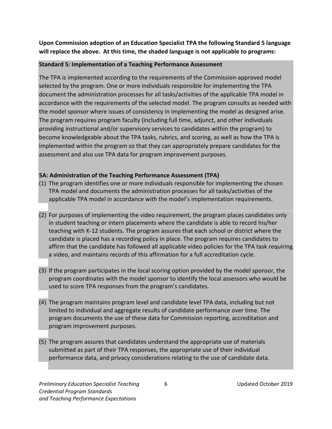**Upon Commission adoption of an Education Specialist TPA the following Standard 5 language will replace the above. At this time, the shaded language is not applicable to programs:**

#### **Standard 5: Implementation of a Teaching Performance Assessment**

The TPA is implemented according to the requirements of the Commission-approved model selected by the program. One or more individuals responsible for implementing the TPA document the administration processes for all tasks/activities of the applicable TPA model in accordance with the requirements of the selected model. The program consults as needed with the model sponsor where issues of consistency in implementing the model as designed arise. The program requires program faculty (including full time, adjunct, and other individuals providing instructional and/or supervisory services to candidates within the program) to become knowledgeable about the TPA tasks, rubrics, and scoring, as well as how the TPA is implemented within the program so that they can appropriately prepare candidates for the assessment and also use TPA data for program improvement purposes.

#### **5A: Administration of the Teaching Performance Assessment (TPA)**

- (1) The program identifies one or more individuals responsible for implementing the chosen TPA model and documents the administration processes for all tasks/activities of the applicable TPA model in accordance with the model's implementation requirements.
- (2) For purposes of implementing the video requirement, the program places candidates only in student teaching or intern placements where the candidate is able to record his/her teaching with K-12 students. The program assures that each school or district where the candidate is placed has a recording policy in place. The program requires candidates to affirm that the candidate has followed all applicable video policies for the TPA task requiring a video, and maintains records of this affirmation for a full accreditation cycle.
- (3) lf the program participates in the local scoring option provided by the model sponsor, the program coordinates with the model sponsor to identify the local assessors who would be used to score TPA responses from the program's candidates.
- (4) The program maintains program level and candidate level TPA data, including but not limited to individual and aggregate results of candidate performance over time. The program documents the use of these data for Commission reporting, accreditation and program improvement purposes.
- (5) The program assures that candidates understand the appropriate use of materials submitted as part of their TPA responses, the appropriate use of their individual performance data, and privacy considerations relating to the use of candidate data.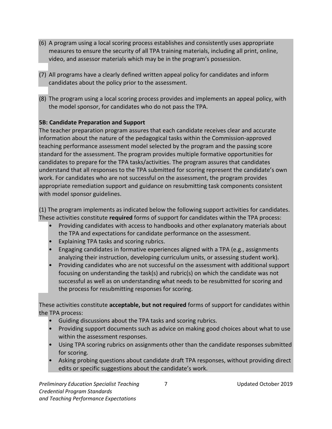- (6) A program using a local scoring process establishes and consistently uses appropriate measures to ensure the security of all TPA training materials, including all print, online, video, and assessor materials which may be in the program's possession.
- (7) All programs have a clearly defined written appeal policy for candidates and inform candidates about the policy prior to the assessment.
- (8) The program using a local scoring process provides and implements an appeal policy, with the model sponsor, for candidates who do not pass the TPA.

#### **5B: Candidate Preparation and Support**

The teacher preparation program assures that each candidate receives clear and accurate information about the nature of the pedagogical tasks within the Commission-approved teaching performance assessment model selected by the program and the passing score standard for the assessment. The program provides multiple formative opportunities for candidates to prepare for the TPA tasks/activities. The program assures that candidates understand that all responses to the TPA submitted for scoring represent the candidate's own work. For candidates who are not successful on the assessment, the program provides appropriate remediation support and guidance on resubmitting task components consistent with model sponsor guidelines.

(1) The program implements as indicated below the following support activities for candidates. These activities constitute **required** forms of support for candidates within the TPA process:

- Providing candidates with access to handbooks and other explanatory materials about the TPA and expectations for candidate performance on the assessment.
- **Explaining TPA tasks and scoring rubrics.**
- Engaging candidates in formative experiences aligned with a TPA (e.g., assignments analyzing their instruction, developing curriculum units, or assessing student work).
- Providing candidates who are not successful on the assessment with additional support focusing on understanding the task(s) and rubric(s) on which the candidate was not successful as well as on understanding what needs to be resubmitted for scoring and the process for resubmitting responses for scoring.

These activities constitute **acceptable, but not required** forms of support for candidates within the TPA process:

- Guiding discussions about the TPA tasks and scoring rubrics.
- Providing support documents such as advice on making good choices about what to use within the assessment responses.
- Using TPA scoring rubrics on assignments other than the candidate responses submitted for scoring.
- Asking probing questions about candidate draft TPA responses, without providing direct edits or specific suggestions about the candidate's work.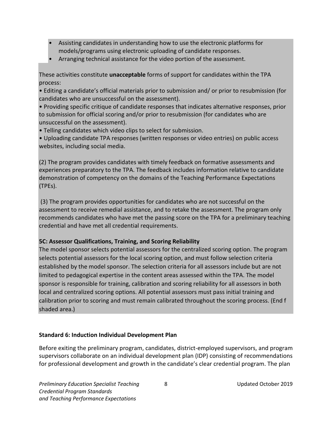- Assisting candidates in understanding how to use the electronic platforms for models/programs using electronic uploading of candidate responses.
- Arranging technical assistance for the video portion of the assessment.

These activities constitute **unacceptable** forms of support for candidates within the TPA process:

• Editing a candidate's official materials prior to submission and/ or prior to resubmission (for candidates who are unsuccessful on the assessment).

• Providing specific critique of candidate responses that indicates alternative responses, prior to submission for official scoring and/or prior to resubmission (for candidates who are unsuccessful on the assessment).

• Telling candidates which video clips to select for submission.

• Uploading candidate TPA responses (written responses or video entries) on public access websites, including social media.

(2) The program provides candidates with timely feedback on formative assessments and experiences preparatory to the TPA. The feedback includes information relative to candidate demonstration of competency on the domains of the Teaching Performance Expectations (TPEs).

(3) The program provides opportunities for candidates who are not successful on the assessment to receive remedial assistance, and to retake the assessment. The program only recommends candidates who have met the passing score on the TPA for a preliminary teaching credential and have met all credential requirements.

#### **5C: Assessor Qualifications, Training, and Scoring Reliability**

The model sponsor selects potential assessors for the centralized scoring option. The program selects potential assessors for the local scoring option, and must follow selection criteria established by the model sponsor. The selection criteria for all assessors include but are not limited to pedagogical expertise in the content areas assessed within the TPA. The model sponsor is responsible for training, calibration and scoring reliability for all assessors in both local and centralized scoring options. All potential assessors must pass initial training and calibration prior to scoring and must remain calibrated throughout the scoring process. (End f shaded area.)

#### **Standard 6: Induction Individual Development Plan**

Before exiting the preliminary program, candidates, district-employed supervisors, and program supervisors collaborate on an individual development plan (IDP) consisting of recommendations for professional development and growth in the candidate's clear credential program. The plan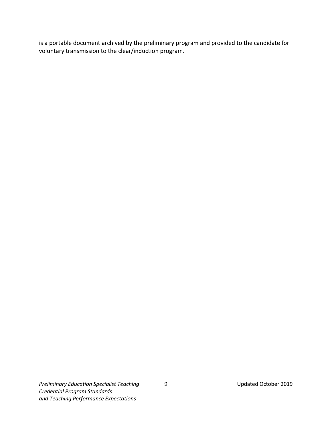is a portable document archived by the preliminary program and provided to the candidate for voluntary transmission to the clear/induction program.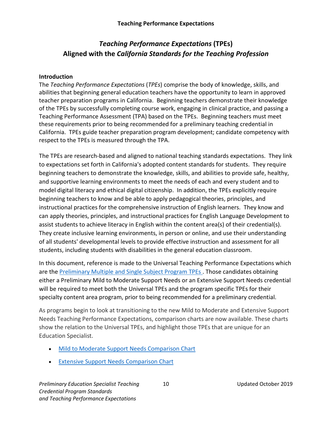# *Teaching Performance Expectations* **(TPEs) Aligned with the** *California Standards for the Teaching Profession*

#### **Introduction**

The *Teaching Performance Expectations* (*TPEs*) comprise the body of knowledge, skills, and abilities that beginning general education teachers have the opportunity to learn in approved teacher preparation programs in California. Beginning teachers demonstrate their knowledge of the TPEs by successfully completing course work, engaging in clinical practice, and passing a Teaching Performance Assessment (TPA) based on the TPEs. Beginning teachers must meet these requirements prior to being recommended for a preliminary teaching credential in California. TPEs guide teacher preparation program development; candidate competency with respect to the TPEs is measured through the TPA.

The TPEs are research-based and aligned to national teaching standards expectations. They link to expectations set forth in California's adopted content standards for students. They require beginning teachers to demonstrate the knowledge, skills, and abilities to provide safe, healthy, and supportive learning environments to meet the needs of each and every student and to model digital literacy and ethical digital citizenship. In addition, the TPEs explicitly require beginning teachers to know and be able to apply pedagogical theories, principles, and instructional practices for the comprehensive instruction of English learners. They know and can apply theories, principles, and instructional practices for English Language Development to assist students to achieve literacy in English within the content area(s) of their credential(s). They create inclusive learning environments, in person or online, and use their understanding of all students' developmental levels to provide effective instruction and assessment for all students, including students with disabilities in the general education classroom.

In this document, reference is made to the Universal Teaching Performance Expectations which are th[e Preliminary Multiple and Single Subject Program TPEs .](https://www.ctc.ca.gov/docs/default-source/educator-prep/standards/tpe-1-6-placemat.pdf?sfvrsn=2) Those candidates obtaining either a Preliminary Mild to Moderate Support Needs or an Extensive Support Needs credential will be required to meet both the Universal TPEs and the program specific TPEs for their specialty content area program, prior to being recommended for a preliminary credential.

As programs begin to look at transitioning to the new Mild to Moderate and Extensive Support Needs Teaching Performance Expectations, comparison charts are now available. These charts show the relation to the Universal TPEs, and highlight those TPEs that are unique for an Education Specialist.

- [Mild to Moderate Support Needs Comparison Chart](https://www.ctc.ca.gov/docs/default-source/educator-prep/special-education-docs/mmsn-tpes-comparison-chart.pdf?sfvrsn=4)
- [Extensive Support Needs Comparison Chart](https://www.ctc.ca.gov/docs/default-source/educator-prep/special-education-docs/esn-tpes-comparison-chart.pdf?sfvrsn=4)

**Preliminary Education Specialist Teaching 10 10 10 Updated October 2019** *Credential Program Standards and Teaching Performance Expectations*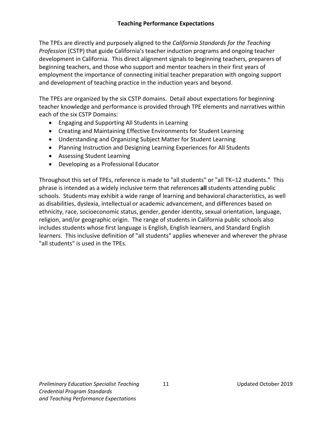The TPEs are directly and purposely aligned to the *California Standards for the Teaching Profession* (CSTP) that guide California's teacher induction programs and ongoing teacher development in California. This direct alignment signals to beginning teachers, preparers of beginning teachers, and those who support and mentor teachers in their first years of employment the importance of connecting initial teacher preparation with ongoing support and development of teaching practice in the induction years and beyond.

The TPEs are organized by the six CSTP domains. Detail about expectations for beginning teacher knowledge and performance is provided through TPE elements and narratives within each of the six CSTP Domains:

- Engaging and Supporting All Students in Learning
- Creating and Maintaining Effective Environments for Student Learning
- Understanding and Organizing Subject Matter for Student Learning
- Planning Instruction and Designing Learning Experiences for All Students
- Assessing Student Learning
- Developing as a Professional Educator

Throughout this set of TPEs, reference is made to "all students" or "all TK–12 students." This phrase is intended as a widely inclusive term that references **all** students attending public schools. Students may exhibit a wide range of learning and behavioral characteristics, as well as disabilities, dyslexia, intellectual or academic advancement, and differences based on ethnicity, race, socioeconomic status, gender, gender identity, sexual orientation, language, religion, and/or geographic origin. The range of students in California public schools also includes students whose first language is English, English learners, and Standard English learners. This inclusive definition of "all students" applies whenever and wherever the phrase "all students" is used in the TPEs.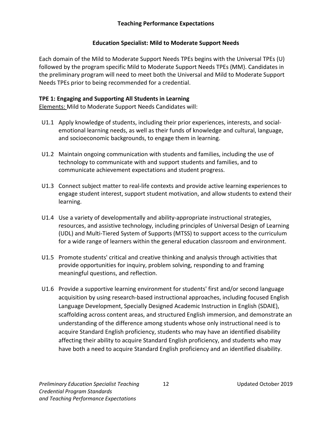#### **Teaching Performance Expectations**

#### **Education Specialist: Mild to Moderate Support Needs**

<span id="page-15-0"></span>Each domain of the Mild to Moderate Support Needs TPEs begins with the Universal TPEs (U) followed by the program specific Mild to Moderate Support Needs TPEs (MM). Candidates in the preliminary program will need to meet both the Universal and Mild to Moderate Support Needs TPEs prior to being recommended for a credential.

#### **TPE 1: Engaging and Supporting All Students in Learning**

- U1.1 Apply knowledge of students, including their prior experiences, interests, and socialemotional learning needs, as well as their funds of knowledge and cultural, language, and socioeconomic backgrounds, to engage them in learning.
- U1.2 Maintain ongoing communication with students and families, including the use of technology to communicate with and support students and families, and to communicate achievement expectations and student progress.
- U1.3 Connect subject matter to real-life contexts and provide active learning experiences to engage student interest, support student motivation, and allow students to extend their learning.
- U1.4 Use a variety of developmentally and ability-appropriate instructional strategies, resources, and assistive technology, including principles of Universal Design of Learning (UDL) and Multi-Tiered System of Supports (MTSS) to support access to the curriculum for a wide range of learners within the general education classroom and environment.
- U1.5 Promote students' critical and creative thinking and analysis through activities that provide opportunities for inquiry, problem solving, responding to and framing meaningful questions, and reflection.
- U1.6 Provide a supportive learning environment for students' first and/or second language acquisition by using research-based instructional approaches, including focused English Language Development, Specially Designed Academic Instruction in English (SDAIE), scaffolding across content areas, and structured English immersion, and demonstrate an understanding of the difference among students whose only instructional need is to acquire Standard English proficiency, students who may have an identified disability affecting their ability to acquire Standard English proficiency, and students who may have both a need to acquire Standard English proficiency and an identified disability.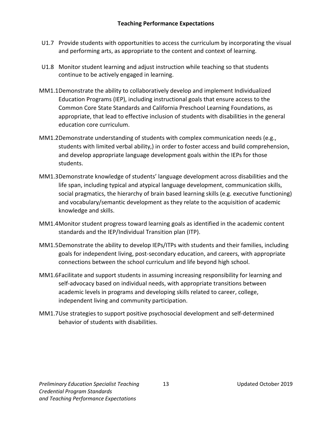- U1.7 Provide students with opportunities to access the curriculum by incorporating the visual and performing arts, as appropriate to the content and context of learning.
- U1.8 Monitor student learning and adjust instruction while teaching so that students continue to be actively engaged in learning.
- MM1.1Demonstrate the ability to collaboratively develop and implement Individualized Education Programs (IEP), including instructional goals that ensure access to the Common Core State Standards and California Preschool Learning Foundations, as appropriate, that lead to effective inclusion of students with disabilities in the general education core curriculum.
- MM1.2Demonstrate understanding of students with complex communication needs (e.g., students with limited verbal ability,) in order to foster access and build comprehension, and develop appropriate language development goals within the IEPs for those students.
- MM1.3Demonstrate knowledge of students' language development across disabilities and the life span, including typical and atypical language development, communication skills, social pragmatics, the hierarchy of brain based learning skills (e.g. executive functioning) and vocabulary/semantic development as they relate to the acquisition of academic knowledge and skills.
- MM1.4Monitor student progress toward learning goals as identified in the academic content standards and the IEP/Individual Transition plan (ITP).
- MM1.5Demonstrate the ability to develop IEPs/ITPs with students and their families, including goals for independent living, post-secondary education, and careers, with appropriate connections between the school curriculum and life beyond high school.
- MM1.6Facilitate and support students in assuming increasing responsibility for learning and self-advocacy based on individual needs, with appropriate transitions between academic levels in programs and developing skills related to career, college, independent living and community participation.
- MM1.7Use strategies to support positive psychosocial development and self-determined behavior of students with disabilities.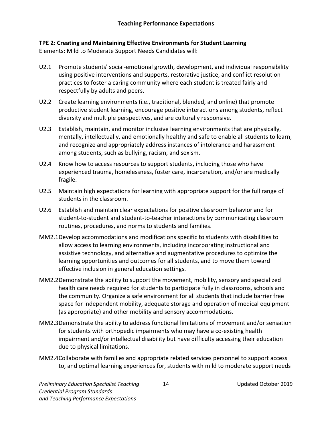# **TPE 2: Creating and Maintaining Effective Environments for Student Learning**

- U2.1 Promote students' social-emotional growth, development, and individual responsibility using positive interventions and supports, restorative justice, and conflict resolution practices to foster a caring community where each student is treated fairly and respectfully by adults and peers.
- U2.2 Create learning environments (i.e., traditional, blended, and online) that promote productive student learning, encourage positive interactions among students, reflect diversity and multiple perspectives, and are culturally responsive.
- U2.3 Establish, maintain, and monitor inclusive learning environments that are physically, mentally, intellectually, and emotionally healthy and safe to enable all students to learn, and recognize and appropriately address instances of intolerance and harassment among students, such as bullying, racism, and sexism.
- U2.4 Know how to access resources to support students, including those who have experienced trauma, homelessness, foster care, incarceration, and/or are medically fragile.
- U2.5 Maintain high expectations for learning with appropriate support for the full range of students in the classroom.
- U2.6 Establish and maintain clear expectations for positive classroom behavior and for student-to-student and student-to-teacher interactions by communicating classroom routines, procedures, and norms to students and families.
- MM2.1Develop accommodations and modifications specific to students with disabilities to allow access to learning environments, including incorporating instructional and assistive technology, and alternative and augmentative procedures to optimize the learning opportunities and outcomes for all students, and to move them toward effective inclusion in general education settings.
- MM2.2Demonstrate the ability to support the movement, mobility, sensory and specialized health care needs required for students to participate fully in classrooms, schools and the community. Organize a safe environment for all students that include barrier free space for independent mobility, adequate storage and operation of medical equipment (as appropriate) and other mobility and sensory accommodations.
- MM2.3Demonstrate the ability to address functional limitations of movement and/or sensation for students with orthopedic impairments who may have a co-existing health impairment and/or intellectual disability but have difficulty accessing their education due to physical limitations.
- MM2.4Collaborate with families and appropriate related services personnel to support access to, and optimal learning experiences for, students with mild to moderate support needs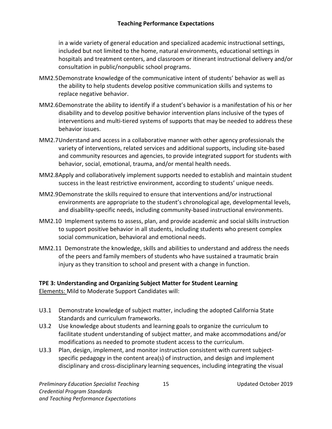in a wide variety of general education and specialized academic instructional settings, included but not limited to the home, natural environments, educational settings in hospitals and treatment centers, and classroom or itinerant instructional delivery and/or consultation in public/nonpublic school programs.

- MM2.5Demonstrate knowledge of the communicative intent of students' behavior as well as the ability to help students develop positive communication skills and systems to replace negative behavior.
- MM2.6Demonstrate the ability to identify if a student's behavior is a manifestation of his or her disability and to develop positive behavior intervention plans inclusive of the types of interventions and multi-tiered systems of supports that may be needed to address these behavior issues.
- MM2.7Understand and access in a collaborative manner with other agency professionals the variety of interventions, related services and additional supports, including site-based and community resources and agencies, to provide integrated support for students with behavior, social, emotional, trauma, and/or mental health needs.
- MM2.8Apply and collaboratively implement supports needed to establish and maintain student success in the least restrictive environment, according to students' unique needs.
- MM2.9Demonstrate the skills required to ensure that interventions and/or instructional environments are appropriate to the student's chronological age, developmental levels, and disability-specific needs, including community-based instructional environments.
- MM2.10 Implement systems to assess, plan, and provide academic and social skills instruction to support positive behavior in all students, including students who present complex social communication, behavioral and emotional needs.
- MM2.11 Demonstrate the knowledge, skills and abilities to understand and address the needs of the peers and family members of students who have sustained a traumatic brain injury as they transition to school and present with a change in function.

# **TPE 3: Understanding and Organizing Subject Matter for Student Learning**

- U3.1 Demonstrate knowledge of subject matter, including the adopted California State Standards and curriculum frameworks.
- U3.2 Use knowledge about students and learning goals to organize the curriculum to facilitate student understanding of subject matter, and make accommodations and/or modifications as needed to promote student access to the curriculum.
- U3.3 Plan, design, implement, and monitor instruction consistent with current subjectspecific pedagogy in the content area(s) of instruction, and design and implement disciplinary and cross-disciplinary learning sequences, including integrating the visual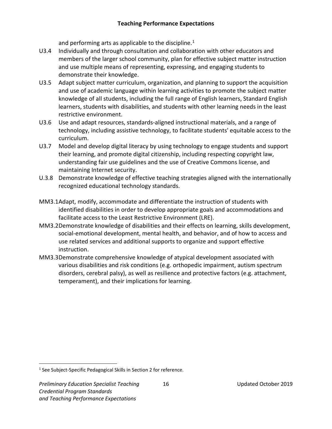and performing arts as applicable to the discipline.<sup>[1](#page-19-0)</sup>

- U3.4 Individually and through consultation and collaboration with other educators and members of the larger school community, plan for effective subject matter instruction and use multiple means of representing, expressing, and engaging students to demonstrate their knowledge.
- U3.5 Adapt subject matter curriculum, organization, and planning to support the acquisition and use of academic language within learning activities to promote the subject matter knowledge of all students, including the full range of English learners, Standard English learners, students with disabilities, and students with other learning needs in the least restrictive environment.
- U3.6 Use and adapt resources, standards-aligned instructional materials, and a range of technology, including assistive technology, to facilitate students' equitable access to the curriculum.
- U3.7 Model and develop digital literacy by using technology to engage students and support their learning, and promote digital citizenship, including respecting copyright law, understanding fair use guidelines and the use of Creative Commons license, and maintaining Internet security.
- U.3.8 Demonstrate knowledge of effective teaching strategies aligned with the internationally recognized educational technology standards.
- MM3.1Adapt, modify, accommodate and differentiate the instruction of students with identified disabilities in order to develop appropriate goals and accommodations and facilitate access to the Least Restrictive Environment (LRE).
- MM3.2Demonstrate knowledge of disabilities and their effects on learning, skills development, social-emotional development, mental health, and behavior, and of how to access and use related services and additional supports to organize and support effective instruction.
- MM3.3Demonstrate comprehensive knowledge of atypical development associated with various disabilities and risk conditions (e.g. orthopedic impairment, autism spectrum disorders, cerebral palsy), as well as resilience and protective factors (e.g. attachment, temperament), and their implications for learning.

<span id="page-19-0"></span><sup>&</sup>lt;sup>1</sup> See Subject-Specific Pedagogical Skills in Section 2 for reference.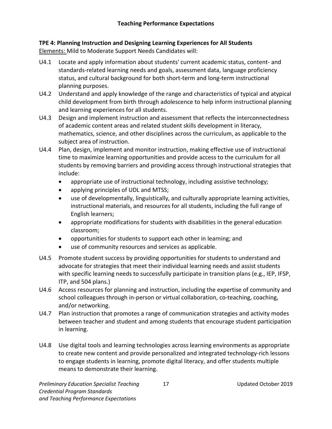# **TPE 4: Planning Instruction and Designing Learning Experiences for All Students**

- U4.1 Locate and apply information about students' current academic status, content- and standards-related learning needs and goals, assessment data, language proficiency status, and cultural background for both short-term and long-term instructional planning purposes.
- U4.2 Understand and apply knowledge of the range and characteristics of typical and atypical child development from birth through adolescence to help inform instructional planning and learning experiences for all students.
- U4.3 Design and implement instruction and assessment that reflects the interconnectedness of academic content areas and related student skills development in literacy, mathematics, science, and other disciplines across the curriculum, as applicable to the subject area of instruction.
- U4.4 Plan, design, implement and monitor instruction, making effective use of instructional time to maximize learning opportunities and provide access to the curriculum for all students by removing barriers and providing access through instructional strategies that include:
	- appropriate use of instructional technology, including assistive technology;
	- applying principles of UDL and MTSS;
	- use of developmentally, linguistically, and culturally appropriate learning activities, instructional materials, and resources for all students, including the full range of English learners;
	- appropriate modifications for students with disabilities in the general education classroom;
	- opportunities for students to support each other in learning; and
	- use of community resources and services as applicable.
- U4.5 Promote student success by providing opportunities for students to understand and advocate for strategies that meet their individual learning needs and assist students with specific learning needs to successfully participate in transition plans (e.g., IEP, IFSP, ITP, and 504 plans.)
- U4.6 Access resources for planning and instruction, including the expertise of community and school colleagues through in-person or virtual collaboration, co-teaching, coaching, and/or networking.
- U4.7 Plan instruction that promotes a range of communication strategies and activity modes between teacher and student and among students that encourage student participation in learning.
- U4.8 Use digital tools and learning technologies across learning environments as appropriate to create new content and provide personalized and integrated technology-rich lessons to engage students in learning, promote digital literacy, and offer students multiple means to demonstrate their learning.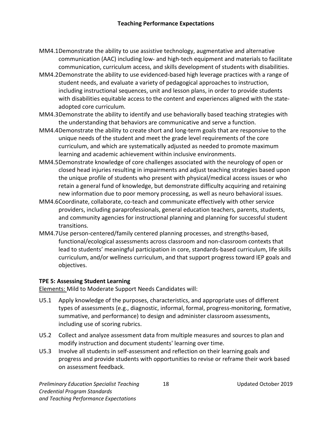- MM4.1Demonstrate the ability to use assistive technology, augmentative and alternative communication (AAC) including low- and high-tech equipment and materials to facilitate communication, curriculum access, and skills development of students with disabilities.
- MM4.2Demonstrate the ability to use evidenced-based high leverage practices with a range of student needs, and evaluate a variety of pedagogical approaches to instruction, including instructional sequences, unit and lesson plans, in order to provide students with disabilities equitable access to the content and experiences aligned with the stateadopted core curriculum.
- MM4.3Demonstrate the ability to identify and use behaviorally based teaching strategies with the understanding that behaviors are communicative and serve a function.
- MM4.4Demonstrate the ability to create short and long-term goals that are responsive to the unique needs of the student and meet the grade level requirements of the core curriculum, and which are systematically adjusted as needed to promote maximum learning and academic achievement within inclusive environments.
- MM4.5Demonstrate knowledge of core challenges associated with the neurology of open or closed head injuries resulting in impairments and adjust teaching strategies based upon the unique profile of students who present with physical/medical access issues or who retain a general fund of knowledge, but demonstrate difficulty acquiring and retaining new information due to poor memory processing, as well as neuro behavioral issues.
- MM4.6Coordinate, collaborate, co-teach and communicate effectively with other service providers, including paraprofessionals, general education teachers, parents, students, and community agencies for instructional planning and planning for successful student transitions.
- MM4.7Use person-centered/family centered planning processes, and strengths-based, functional/ecological assessments across classroom and non-classroom contexts that lead to students' meaningful participation in core, standards-based curriculum, life skills curriculum, and/or wellness curriculum, and that support progress toward IEP goals and objectives.

#### **TPE 5: Assessing Student Learning**

- U5.1 Apply knowledge of the purposes, characteristics, and appropriate uses of different types of assessments (e.g., diagnostic, informal, formal, progress-monitoring, formative, summative, and performance) to design and administer classroom assessments, including use of scoring rubrics.
- U5.2 Collect and analyze assessment data from multiple measures and sources to plan and modify instruction and document students' learning over time.
- U5.3 Involve all students in self-assessment and reflection on their learning goals and progress and provide students with opportunities to revise or reframe their work based on assessment feedback.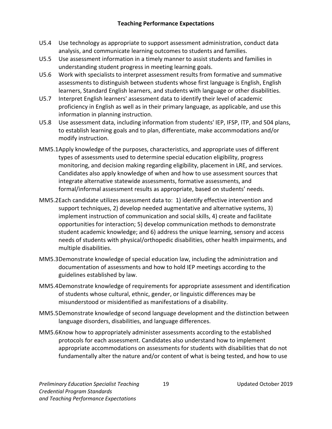- U5.4 Use technology as appropriate to support assessment administration, conduct data analysis, and communicate learning outcomes to students and families.
- U5.5 Use assessment information in a timely manner to assist students and families in understanding student progress in meeting learning goals.
- U5.6 Work with specialists to interpret assessment results from formative and summative assessments to distinguish between students whose first language is English, English learners, Standard English learners, and students with language or other disabilities.
- U5.7 Interpret English learners' assessment data to identify their level of academic proficiency in English as well as in their primary language, as applicable, and use this information in planning instruction.
- U5.8 Use assessment data, including information from students' IEP, IFSP, ITP, and 504 plans, to establish learning goals and to plan, differentiate, make accommodations and/or modify instruction.
- MM5.1Apply knowledge of the purposes, characteristics, and appropriate uses of different types of assessments used to determine special education eligibility, progress monitoring, and decision making regarding eligibility, placement in LRE, and services. Candidates also apply knowledge of when and how to use assessment sources that integrate alternative statewide assessments, formative assessments, and formal/informal assessment results as appropriate, based on students' needs.
- MM5.2Each candidate utilizes assessment data to: 1) identify effective intervention and support techniques, 2) develop needed augmentative and alternative systems, 3) implement instruction of communication and social skills, 4) create and facilitate opportunities for interaction; 5) develop communication methods to demonstrate student academic knowledge; and 6) address the unique learning, sensory and access needs of students with physical/orthopedic disabilities, other health impairments, and multiple disabilities.
- MM5.3Demonstrate knowledge of special education law, including the administration and documentation of assessments and how to hold IEP meetings according to the guidelines established by law.
- MM5.4Demonstrate knowledge of requirements for appropriate assessment and identification of students whose cultural, ethnic, gender, or linguistic differences may be misunderstood or misidentified as manifestations of a disability.
- MM5.5Demonstrate knowledge of second language development and the distinction between language disorders, disabilities, and language differences.
- MM5.6Know how to appropriately administer assessments according to the established protocols for each assessment. Candidates also understand how to implement appropriate accommodations on assessments for students with disabilities that do not fundamentally alter the nature and/or content of what is being tested, and how to use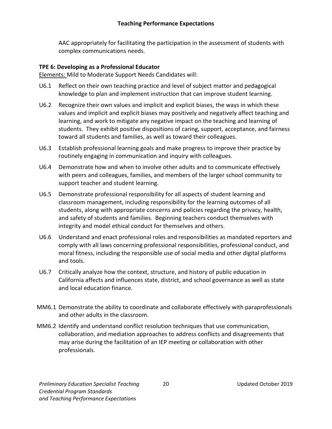AAC appropriately for facilitating the participation in the assessment of students with complex communications needs.

#### **TPE 6: Developing as a Professional Educator**

- U6.1 Reflect on their own teaching practice and level of subject matter and pedagogical knowledge to plan and implement instruction that can improve student learning.
- U6.2 Recognize their own values and implicit and explicit biases, the ways in which these values and implicit and explicit biases may positively and negatively affect teaching and learning, and work to mitigate any negative impact on the teaching and learning of students. They exhibit positive dispositions of caring, support, acceptance, and fairness toward all students and families, as well as toward their colleagues.
- U6.3 Establish professional learning goals and make progress to improve their practice by routinely engaging in communication and inquiry with colleagues.
- U6.4 Demonstrate how and when to involve other adults and to communicate effectively with peers and colleagues, families, and members of the larger school community to support teacher and student learning.
- U6.5 Demonstrate professional responsibility for all aspects of student learning and classroom management, including responsibility for the learning outcomes of all students, along with appropriate concerns and policies regarding the privacy, health, and safety of students and families. Beginning teachers conduct themselves with integrity and model ethical conduct for themselves and others.
- U6.6 Understand and enact professional roles and responsibilities as mandated reporters and comply with all laws concerning professional responsibilities, professional conduct, and moral fitness, including the responsible use of social media and other digital platforms and tools.
- U6.7 Critically analyze how the context, structure, and history of public education in California affects and influences state, district, and school governance as well as state and local education finance.
- MM6.1 Demonstrate the ability to coordinate and collaborate effectively with paraprofessionals and other adults in the classroom.
- MM6.2 Identify and understand conflict resolution techniques that use communication, collaboration, and mediation approaches to address conflicts and disagreements that may arise during the facilitation of an IEP meeting or collaboration with other professionals.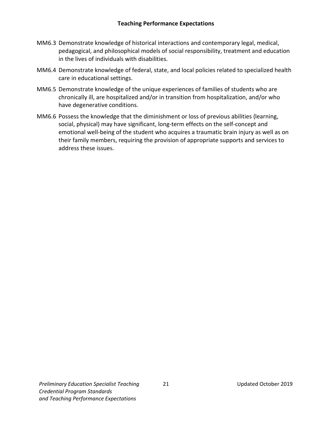- MM6.3 Demonstrate knowledge of historical interactions and contemporary legal, medical, pedagogical, and philosophical models of social responsibility, treatment and education in the lives of individuals with disabilities.
- MM6.4 Demonstrate knowledge of federal, state, and local policies related to specialized health care in educational settings.
- MM6.5 Demonstrate knowledge of the unique experiences of families of students who are chronically ill, are hospitalized and/or in transition from hospitalization, and/or who have degenerative conditions.
- MM6.6 Possess the knowledge that the diminishment or loss of previous abilities (learning, social, physical) may have significant, long-term effects on the self-concept and emotional well-being of the student who acquires a traumatic brain injury as well as on their family members, requiring the provision of appropriate supports and services to address these issues.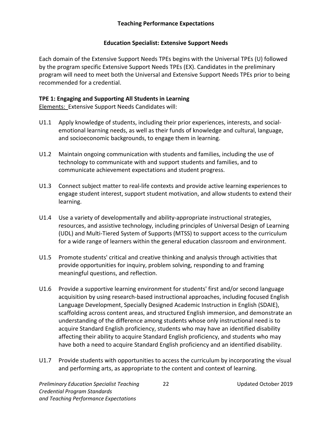#### **Teaching Performance Expectations**

#### **Education Specialist: Extensive Support Needs**

<span id="page-25-0"></span>Each domain of the Extensive Support Needs TPEs begins with the Universal TPEs (U) followed by the program specific Extensive Support Needs TPEs (EX). Candidates in the preliminary program will need to meet both the Universal and Extensive Support Needs TPEs prior to being recommended for a credential.

#### **TPE 1: Engaging and Supporting All Students in Learning**

Elements: Extensive Support Needs Candidates will:

- U1.1 Apply knowledge of students, including their prior experiences, interests, and socialemotional learning needs, as well as their funds of knowledge and cultural, language, and socioeconomic backgrounds, to engage them in learning.
- U1.2 Maintain ongoing communication with students and families, including the use of technology to communicate with and support students and families, and to communicate achievement expectations and student progress.
- U1.3 Connect subject matter to real-life contexts and provide active learning experiences to engage student interest, support student motivation, and allow students to extend their learning.
- U1.4 Use a variety of developmentally and ability-appropriate instructional strategies, resources, and assistive technology, including principles of Universal Design of Learning (UDL) and Multi-Tiered System of Supports (MTSS) to support access to the curriculum for a wide range of learners within the general education classroom and environment.
- U1.5 Promote students' critical and creative thinking and analysis through activities that provide opportunities for inquiry, problem solving, responding to and framing meaningful questions, and reflection.
- U1.6 Provide a supportive learning environment for students' first and/or second language acquisition by using research-based instructional approaches, including focused English Language Development, Specially Designed Academic Instruction in English (SDAIE), scaffolding across content areas, and structured English immersion, and demonstrate an understanding of the difference among students whose only instructional need is to acquire Standard English proficiency, students who may have an identified disability affecting their ability to acquire Standard English proficiency, and students who may have both a need to acquire Standard English proficiency and an identified disability.
- U1.7 Provide students with opportunities to access the curriculum by incorporating the visual and performing arts, as appropriate to the content and context of learning.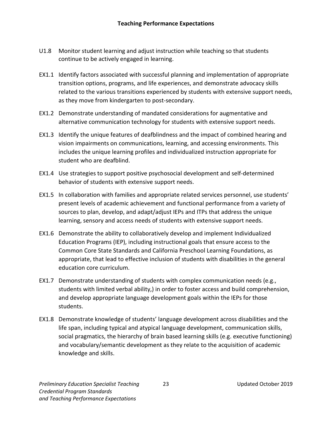- U1.8 Monitor student learning and adjust instruction while teaching so that students continue to be actively engaged in learning.
- EX1.1 Identify factors associated with successful planning and implementation of appropriate transition options, programs, and life experiences, and demonstrate advocacy skills related to the various transitions experienced by students with extensive support needs, as they move from kindergarten to post-secondary.
- EX1.2 Demonstrate understanding of mandated considerations for augmentative and alternative communication technology for students with extensive support needs.
- EX1.3 Identify the unique features of deafblindness and the impact of combined hearing and vision impairments on communications, learning, and accessing environments. This includes the unique learning profiles and individualized instruction appropriate for student who are deafblind.
- EX1.4 Use strategies to support positive psychosocial development and self-determined behavior of students with extensive support needs.
- EX1.5 In collaboration with families and appropriate related services personnel, use students' present levels of academic achievement and functional performance from a variety of sources to plan, develop, and adapt/adjust IEPs and ITPs that address the unique learning, sensory and access needs of students with extensive support needs.
- EX1.6 Demonstrate the ability to collaboratively develop and implement Individualized Education Programs (IEP), including instructional goals that ensure access to the Common Core State Standards and California Preschool Learning Foundations, as appropriate, that lead to effective inclusion of students with disabilities in the general education core curriculum.
- EX1.7 Demonstrate understanding of students with complex communication needs (e.g., students with limited verbal ability,) in order to foster access and build comprehension, and develop appropriate language development goals within the IEPs for those students.
- EX1.8 Demonstrate knowledge of students' language development across disabilities and the life span, including typical and atypical language development, communication skills, social pragmatics, the hierarchy of brain based learning skills (e.g. executive functioning) and vocabulary/semantic development as they relate to the acquisition of academic knowledge and skills.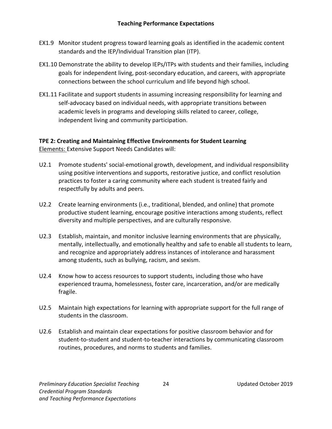- EX1.9 Monitor student progress toward learning goals as identified in the academic content standards and the IEP/Individual Transition plan (ITP).
- EX1.10 Demonstrate the ability to develop IEPs/ITPs with students and their families, including goals for independent living, post-secondary education, and careers, with appropriate connections between the school curriculum and life beyond high school.
- EX1.11 Facilitate and support students in assuming increasing responsibility for learning and self-advocacy based on individual needs, with appropriate transitions between academic levels in programs and developing skills related to career, college, independent living and community participation.

# **TPE 2: Creating and Maintaining Effective Environments for Student Learning**

Elements: Extensive Support Needs Candidates will:

- U2.1 Promote students' social-emotional growth, development, and individual responsibility using positive interventions and supports, restorative justice, and conflict resolution practices to foster a caring community where each student is treated fairly and respectfully by adults and peers.
- U2.2 Create learning environments (i.e., traditional, blended, and online) that promote productive student learning, encourage positive interactions among students, reflect diversity and multiple perspectives, and are culturally responsive.
- U2.3 Establish, maintain, and monitor inclusive learning environments that are physically, mentally, intellectually, and emotionally healthy and safe to enable all students to learn, and recognize and appropriately address instances of intolerance and harassment among students, such as bullying, racism, and sexism.
- U2.4 Know how to access resources to support students, including those who have experienced trauma, homelessness, foster care, incarceration, and/or are medically fragile.
- U2.5 Maintain high expectations for learning with appropriate support for the full range of students in the classroom.
- U2.6 Establish and maintain clear expectations for positive classroom behavior and for student-to-student and student-to-teacher interactions by communicating classroom routines, procedures, and norms to students and families.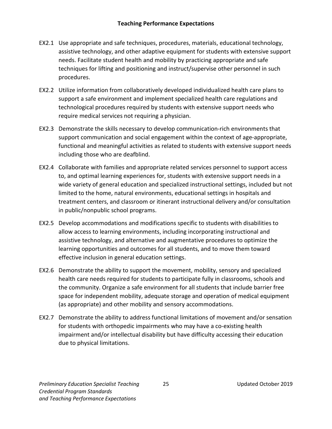- EX2.1 Use appropriate and safe techniques, procedures, materials, educational technology, assistive technology, and other adaptive equipment for students with extensive support needs. Facilitate student health and mobility by practicing appropriate and safe techniques for lifting and positioning and instruct/supervise other personnel in such procedures.
- EX2.2 Utilize information from collaboratively developed individualized health care plans to support a safe environment and implement specialized health care regulations and technological procedures required by students with extensive support needs who require medical services not requiring a physician.
- EX2.3 Demonstrate the skills necessary to develop communication-rich environments that support communication and social engagement within the context of age-appropriate, functional and meaningful activities as related to students with extensive support needs including those who are deafblind.
- EX2.4 Collaborate with families and appropriate related services personnel to support access to, and optimal learning experiences for, students with extensive support needs in a wide variety of general education and specialized instructional settings, included but not limited to the home, natural environments, educational settings in hospitals and treatment centers, and classroom or itinerant instructional delivery and/or consultation in public/nonpublic school programs.
- EX2.5 Develop accommodations and modifications specific to students with disabilities to allow access to learning environments, including incorporating instructional and assistive technology, and alternative and augmentative procedures to optimize the learning opportunities and outcomes for all students, and to move them toward effective inclusion in general education settings.
- EX2.6 Demonstrate the ability to support the movement, mobility, sensory and specialized health care needs required for students to participate fully in classrooms, schools and the community. Organize a safe environment for all students that include barrier free space for independent mobility, adequate storage and operation of medical equipment (as appropriate) and other mobility and sensory accommodations.
- EX2.7 Demonstrate the ability to address functional limitations of movement and/or sensation for students with orthopedic impairments who may have a co-existing health impairment and/or intellectual disability but have difficulty accessing their education due to physical limitations.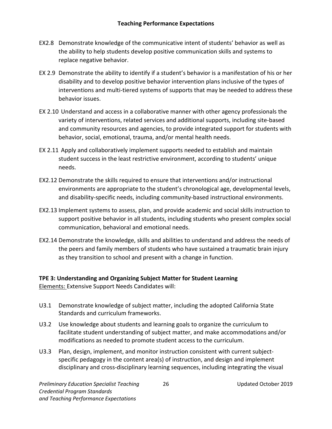- EX2.8 Demonstrate knowledge of the communicative intent of students' behavior as well as the ability to help students develop positive communication skills and systems to replace negative behavior.
- EX 2.9 Demonstrate the ability to identify if a student's behavior is a manifestation of his or her disability and to develop positive behavior intervention plans inclusive of the types of interventions and multi-tiered systems of supports that may be needed to address these behavior issues.
- EX 2.10 Understand and access in a collaborative manner with other agency professionals the variety of interventions, related services and additional supports, including site-based and community resources and agencies, to provide integrated support for students with behavior, social, emotional, trauma, and/or mental health needs.
- EX 2.11 Apply and collaboratively implement supports needed to establish and maintain student success in the least restrictive environment, according to students' unique needs.
- EX2.12 Demonstrate the skills required to ensure that interventions and/or instructional environments are appropriate to the student's chronological age, developmental levels, and disability-specific needs, including community-based instructional environments.
- EX2.13 Implement systems to assess, plan, and provide academic and social skills instruction to support positive behavior in all students, including students who present complex social communication, behavioral and emotional needs.
- EX2.14 Demonstrate the knowledge, skills and abilities to understand and address the needs of the peers and family members of students who have sustained a traumatic brain injury as they transition to school and present with a change in function.

#### **TPE 3: Understanding and Organizing Subject Matter for Student Learning** Elements: Extensive Support Needs Candidates will:

- U3.1 Demonstrate knowledge of subject matter, including the adopted California State
- Standards and curriculum frameworks.
- U3.2 Use knowledge about students and learning goals to organize the curriculum to facilitate student understanding of subject matter, and make accommodations and/or modifications as needed to promote student access to the curriculum.
- U3.3 Plan, design, implement, and monitor instruction consistent with current subjectspecific pedagogy in the content area(s) of instruction, and design and implement disciplinary and cross-disciplinary learning sequences, including integrating the visual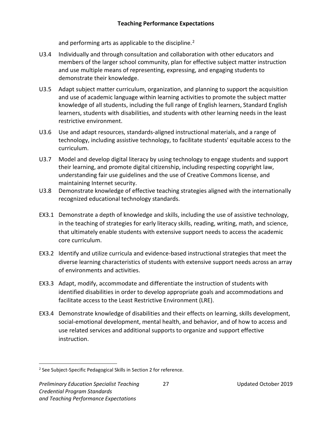and performing arts as applicable to the discipline.<sup>[2](#page-30-0)</sup>

- U3.4 Individually and through consultation and collaboration with other educators and members of the larger school community, plan for effective subject matter instruction and use multiple means of representing, expressing, and engaging students to demonstrate their knowledge.
- U3.5 Adapt subject matter curriculum, organization, and planning to support the acquisition and use of academic language within learning activities to promote the subject matter knowledge of all students, including the full range of English learners, Standard English learners, students with disabilities, and students with other learning needs in the least restrictive environment.
- U3.6 Use and adapt resources, standards-aligned instructional materials, and a range of technology, including assistive technology, to facilitate students' equitable access to the curriculum.
- U3.7 Model and develop digital literacy by using technology to engage students and support their learning, and promote digital citizenship, including respecting copyright law, understanding fair use guidelines and the use of Creative Commons license, and maintaining Internet security.
- U3.8 Demonstrate knowledge of effective teaching strategies aligned with the internationally recognized educational technology standards.
- EX3.1 Demonstrate a depth of knowledge and skills, including the use of assistive technology, in the teaching of strategies for early literacy skills, reading, writing, math, and science, that ultimately enable students with extensive support needs to access the academic core curriculum.
- EX3.2 Identify and utilize curricula and evidence-based instructional strategies that meet the diverse learning characteristics of students with extensive support needs across an array of environments and activities.
- EX3.3 Adapt, modify, accommodate and differentiate the instruction of students with identified disabilities in order to develop appropriate goals and accommodations and facilitate access to the Least Restrictive Environment (LRE).
- EX3.4 Demonstrate knowledge of disabilities and their effects on learning, skills development, social-emotional development, mental health, and behavior, and of how to access and use related services and additional supports to organize and support effective instruction.

<span id="page-30-0"></span><sup>&</sup>lt;sup>2</sup> See Subject-Specific Pedagogical Skills in Section 2 for reference.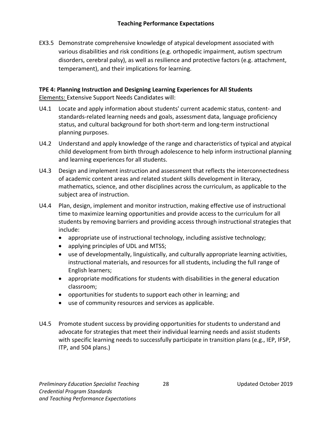EX3.5 Demonstrate comprehensive knowledge of atypical development associated with various disabilities and risk conditions (e.g. orthopedic impairment, autism spectrum disorders, cerebral palsy), as well as resilience and protective factors (e.g. attachment, temperament), and their implications for learning.

#### **TPE 4: Planning Instruction and Designing Learning Experiences for All Students** Elements: Extensive Support Needs Candidates will:

- U4.1 Locate and apply information about students' current academic status, content- and standards-related learning needs and goals, assessment data, language proficiency status, and cultural background for both short-term and long-term instructional planning purposes.
- U4.2 Understand and apply knowledge of the range and characteristics of typical and atypical child development from birth through adolescence to help inform instructional planning and learning experiences for all students.
- U4.3 Design and implement instruction and assessment that reflects the interconnectedness of academic content areas and related student skills development in literacy, mathematics, science, and other disciplines across the curriculum, as applicable to the subject area of instruction.
- U4.4 Plan, design, implement and monitor instruction, making effective use of instructional time to maximize learning opportunities and provide access to the curriculum for all students by removing barriers and providing access through instructional strategies that include:
	- appropriate use of instructional technology, including assistive technology;
	- applying principles of UDL and MTSS;
	- use of developmentally, linguistically, and culturally appropriate learning activities, instructional materials, and resources for all students, including the full range of English learners;
	- appropriate modifications for students with disabilities in the general education classroom;
	- opportunities for students to support each other in learning; and
	- use of community resources and services as applicable.
- U4.5 Promote student success by providing opportunities for students to understand and advocate for strategies that meet their individual learning needs and assist students with specific learning needs to successfully participate in transition plans (e.g., IEP, IFSP, ITP, and 504 plans.)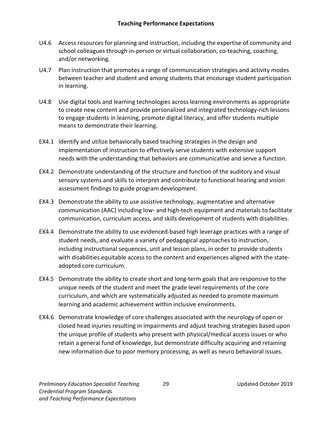- U4.6 Access resources for planning and instruction, including the expertise of community and school colleagues through in-person or virtual collaboration, co-teaching, coaching, and/or networking.
- U4.7 Plan instruction that promotes a range of communication strategies and activity modes between teacher and student and among students that encourage student participation in learning.
- U4.8 Use digital tools and learning technologies across learning environments as appropriate to create new content and provide personalized and integrated technology-rich lessons to engage students in learning, promote digital literacy, and offer students multiple means to demonstrate their learning.
- EX4.1 Identify and utilize behaviorally based teaching strategies in the design and implementation of instruction to effectively serve students with extensive support needs with the understanding that behaviors are communicative and serve a function.
- EX4.2 Demonstrate understanding of the structure and function of the auditory and visual sensory systems and skills to interpret and contribute to functional hearing and vision assessment findings to guide program development.
- EX4.3 Demonstrate the ability to use assistive technology, augmentative and alternative communication (AAC) including low- and high-tech equipment and materials to facilitate communication, curriculum access, and skills development of students with disabilities.
- EX4.4 Demonstrate the ability to use evidenced-based high leverage practices with a range of student needs, and evaluate a variety of pedagogical approaches to instruction, including instructional sequences, unit and lesson plans, in order to provide students with disabilities equitable access to the content and experiences aligned with the stateadopted core curriculum.
- EX4.5 Demonstrate the ability to create short and long-term goals that are responsive to the unique needs of the student and meet the grade level requirements of the core curriculum, and which are systematically adjusted as needed to promote maximum learning and academic achievement within inclusive environments.
- EX4.6 Demonstrate knowledge of core challenges associated with the neurology of open or closed head injuries resulting in impairments and adjust teaching strategies based upon the unique profile of students who present with physical/medical access issues or who retain a general fund of knowledge, but demonstrate difficulty acquiring and retaining new information due to poor memory processing, as well as neuro behavioral issues.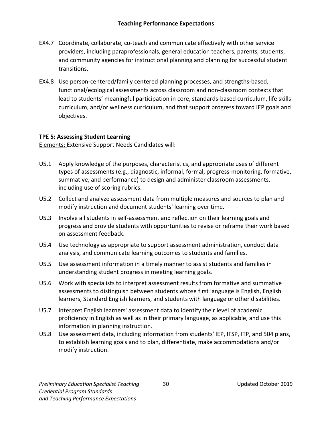- EX4.7 Coordinate, collaborate, co-teach and communicate effectively with other service providers, including paraprofessionals, general education teachers, parents, students, and community agencies for instructional planning and planning for successful student transitions.
- EX4.8 Use person-centered/family centered planning processes, and strengths-based, functional/ecological assessments across classroom and non-classroom contexts that lead to students' meaningful participation in core, standards-based curriculum, life skills curriculum, and/or wellness curriculum, and that support progress toward IEP goals and objectives.

#### **TPE 5: Assessing Student Learning**

Elements: Extensive Support Needs Candidates will:

- U5.1 Apply knowledge of the purposes, characteristics, and appropriate uses of different types of assessments (e.g., diagnostic, informal, formal, progress-monitoring, formative, summative, and performance) to design and administer classroom assessments, including use of scoring rubrics.
- U5.2 Collect and analyze assessment data from multiple measures and sources to plan and modify instruction and document students' learning over time.
- U5.3 Involve all students in self-assessment and reflection on their learning goals and progress and provide students with opportunities to revise or reframe their work based on assessment feedback.
- U5.4 Use technology as appropriate to support assessment administration, conduct data analysis, and communicate learning outcomes to students and families.
- U5.5 Use assessment information in a timely manner to assist students and families in understanding student progress in meeting learning goals.
- U5.6 Work with specialists to interpret assessment results from formative and summative assessments to distinguish between students whose first language is English, English learners, Standard English learners, and students with language or other disabilities.
- U5.7 Interpret English learners' assessment data to identify their level of academic proficiency in English as well as in their primary language, as applicable, and use this information in planning instruction.
- U5.8 Use assessment data, including information from students' IEP, IFSP, ITP, and 504 plans, to establish learning goals and to plan, differentiate, make accommodations and/or modify instruction.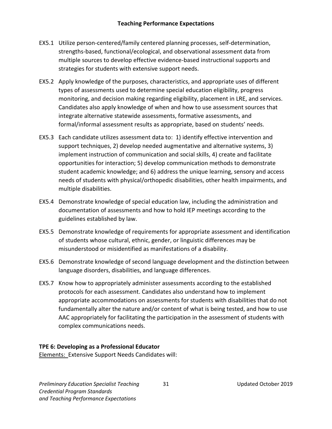- EX5.1 Utilize person-centered/family centered planning processes, self-determination, strengths-based, functional/ecological, and observational assessment data from multiple sources to develop effective evidence-based instructional supports and strategies for students with extensive support needs.
- EX5.2 Apply knowledge of the purposes, characteristics, and appropriate uses of different types of assessments used to determine special education eligibility, progress monitoring, and decision making regarding eligibility, placement in LRE, and services. Candidates also apply knowledge of when and how to use assessment sources that integrate alternative statewide assessments, formative assessments, and formal/informal assessment results as appropriate, based on students' needs.
- EX5.3 Each candidate utilizes assessment data to: 1) identify effective intervention and support techniques, 2) develop needed augmentative and alternative systems, 3) implement instruction of communication and social skills, 4) create and facilitate opportunities for interaction; 5) develop communication methods to demonstrate student academic knowledge; and 6) address the unique learning, sensory and access needs of students with physical/orthopedic disabilities, other health impairments, and multiple disabilities.
- EX5.4 Demonstrate knowledge of special education law, including the administration and documentation of assessments and how to hold IEP meetings according to the guidelines established by law.
- EX5.5 Demonstrate knowledge of requirements for appropriate assessment and identification of students whose cultural, ethnic, gender, or linguistic differences may be misunderstood or misidentified as manifestations of a disability.
- EX5.6 Demonstrate knowledge of second language development and the distinction between language disorders, disabilities, and language differences.
- EX5.7 Know how to appropriately administer assessments according to the established protocols for each assessment. Candidates also understand how to implement appropriate accommodations on assessments for students with disabilities that do not fundamentally alter the nature and/or content of what is being tested, and how to use AAC appropriately for facilitating the participation in the assessment of students with complex communications needs.

#### **TPE 6: Developing as a Professional Educator**

Elements: Extensive Support Needs Candidates will:

*Preliminary Education Specialist Teaching* 31 Updated October 2019 *Credential Program Standards and Teaching Performance Expectations*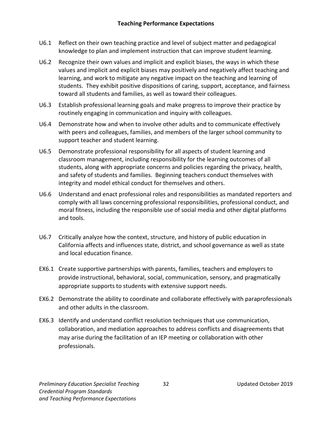- U6.1 Reflect on their own teaching practice and level of subject matter and pedagogical knowledge to plan and implement instruction that can improve student learning.
- U6.2 Recognize their own values and implicit and explicit biases, the ways in which these values and implicit and explicit biases may positively and negatively affect teaching and learning, and work to mitigate any negative impact on the teaching and learning of students. They exhibit positive dispositions of caring, support, acceptance, and fairness toward all students and families, as well as toward their colleagues.
- U6.3 Establish professional learning goals and make progress to improve their practice by routinely engaging in communication and inquiry with colleagues.
- U6.4 Demonstrate how and when to involve other adults and to communicate effectively with peers and colleagues, families, and members of the larger school community to support teacher and student learning.
- U6.5 Demonstrate professional responsibility for all aspects of student learning and classroom management, including responsibility for the learning outcomes of all students, along with appropriate concerns and policies regarding the privacy, health, and safety of students and families. Beginning teachers conduct themselves with integrity and model ethical conduct for themselves and others.
- U6.6 Understand and enact professional roles and responsibilities as mandated reporters and comply with all laws concerning professional responsibilities, professional conduct, and moral fitness, including the responsible use of social media and other digital platforms and tools.
- U6.7 Critically analyze how the context, structure, and history of public education in California affects and influences state, district, and school governance as well as state and local education finance.
- EX6.1 Create supportive partnerships with parents, families, teachers and employers to provide instructional, behavioral, social, communication, sensory, and pragmatically appropriate supports to students with extensive support needs.
- EX6.2 Demonstrate the ability to coordinate and collaborate effectively with paraprofessionals and other adults in the classroom.
- EX6.3 Identify and understand conflict resolution techniques that use communication, collaboration, and mediation approaches to address conflicts and disagreements that may arise during the facilitation of an IEP meeting or collaboration with other professionals.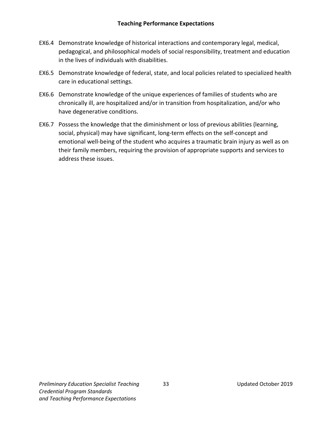- EX6.4 Demonstrate knowledge of historical interactions and contemporary legal, medical, pedagogical, and philosophical models of social responsibility, treatment and education in the lives of individuals with disabilities.
- EX6.5 Demonstrate knowledge of federal, state, and local policies related to specialized health care in educational settings.
- EX6.6 Demonstrate knowledge of the unique experiences of families of students who are chronically ill, are hospitalized and/or in transition from hospitalization, and/or who have degenerative conditions.
- EX6.7 Possess the knowledge that the diminishment or loss of previous abilities (learning, social, physical) may have significant, long-term effects on the self-concept and emotional well-being of the student who acquires a traumatic brain injury as well as on their family members, requiring the provision of appropriate supports and services to address these issues.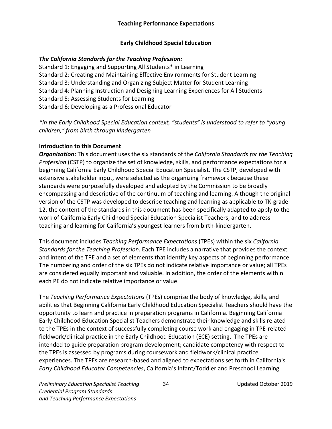#### **Early Childhood Special Education**

#### <span id="page-37-0"></span>*The California Standards for the Teaching Profession:*

Standard 1: Engaging and Supporting All Students\* in Learning Standard 2: Creating and Maintaining Effective Environments for Student Learning Standard 3: Understanding and Organizing Subject Matter for Student Learning Standard 4: Planning Instruction and Designing Learning Experiences for All Students Standard 5: Assessing Students for Learning Standard 6: Developing as a Professional Educator

*\*in the Early Childhood Special Education context, "students" is understood to refer to "young children," from birth through kindergarten*

#### **Introduction to this Document**

*Organization:* This document uses the six standards of the *California Standards for the Teaching Profession* (CSTP) to organize the set of knowledge, skills, and performance expectations for a beginning California Early Childhood Special Education Specialist. The CSTP, developed with extensive stakeholder input, were selected as the organizing framework because these standards were purposefully developed and adopted by the Commission to be broadly encompassing and descriptive of the continuum of teaching and learning. Although the original version of the CSTP was developed to describe teaching and learning as applicable to TK-grade 12, the content of the standards in this document has been specifically adapted to apply to the work of California Early Childhood Special Education Specialist Teachers, and to address teaching and learning for California's youngest learners from birth-kindergarten.

This document includes *Teaching Performance Expectations* (TPEs) within the six *California Standards for the Teaching Profession*. Each TPE includes a narrative that provides the context and intent of the TPE and a set of elements that identify key aspects of beginning performance. The numbering and order of the six TPEs do not indicate relative importance or value; all TPEs are considered equally important and valuable. In addition, the order of the elements within each PE do not indicate relative importance or value.

The *Teaching Performance Expectations* (TPEs) comprise the body of knowledge, skills, and abilities that Beginning California Early Childhood Education Specialist Teachers should have the opportunity to learn and practice in preparation programs in California. Beginning California Early Childhood Education Specialist Teachers demonstrate their knowledge and skills related to the TPEs in the context of successfully completing course work and engaging in TPE-related fieldwork/clinical practice in the Early Childhood Education (ECE) setting. The TPEs are intended to guide preparation program development; candidate competency with respect to the TPEs is assessed by programs during coursework and fieldwork/clinical practice experiences. The TPEs are research-based and aligned to expectations set forth in California's *Early Childhood Educator Competencies*, California's Infant/Toddler and Preschool Learning

*Preliminary Education Specialist Teaching* 34 Updated October 2019 *Credential Program Standards and Teaching Performance Expectations*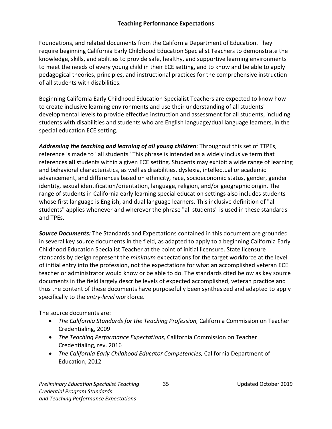#### **Teaching Performance Expectations**

Foundations, and related documents from the California Department of Education. They require beginning California Early Childhood Education Specialist Teachers to demonstrate the knowledge, skills, and abilities to provide safe, healthy, and supportive learning environments to meet the needs of every young child in their ECE setting, and to know and be able to apply pedagogical theories, principles, and instructional practices for the comprehensive instruction of all students with disabilities.

Beginning California Early Childhood Education Specialist Teachers are expected to know how to create inclusive learning environments and use their understanding of all students' developmental levels to provide effective instruction and assessment for all students, including students with disabilities and students who are English language/dual language learners, in the special education ECE setting.

*Addressing the teaching and learning of all young children*: Throughout this set of TTPEs, reference is made to "all students" This phrase is intended as a widely inclusive term that references **all** students within a given ECE setting. Students may exhibit a wide range of learning and behavioral characteristics, as well as disabilities, dyslexia, intellectual or academic advancement, and differences based on ethnicity, race, socioeconomic status, gender, gender identity, sexual identification/orientation, language, religion, and/or geographic origin. The range of students in California early learning special education settings also includes students whose first language is English, and dual language learners. This inclusive definition of "all students" applies whenever and wherever the phrase "all students" is used in these standards and TPEs.

*Source Documents:* The Standards and Expectations contained in this document are grounded in several key source documents in the field, as adapted to apply to a beginning California Early Childhood Education Specialist Teacher at the point of initial licensure. State licensure standards by design represent the *minimum* expectations for the target workforce at the level of initial entry into the profession, not the expectations for what an accomplished veteran ECE teacher or administrator would know or be able to do. The standards cited below as key source documents in the field largely describe levels of expected accomplished, veteran practice and thus the content of these documents have purposefully been synthesized and adapted to apply specifically to the *entry-level* workforce.

The source documents are:

- *The California Standards for the Teaching Profession,* California Commission on Teacher Credentialing, 2009
- *The Teaching Performance Expectations,* California Commission on Teacher Credentialing, rev. 2016
- *The California Early Childhood Educator Competencies,* California Department of Education, 2012

*Preliminary Education Specialist Teaching* 35 Updated October 2019 *Credential Program Standards and Teaching Performance Expectations*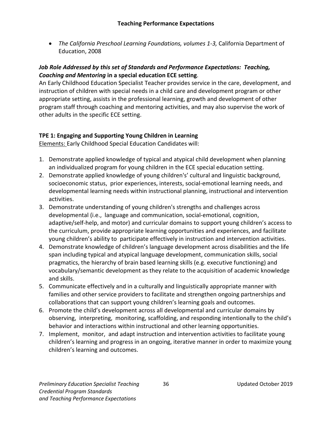• *The California Preschool Learning Foundations, volumes 1-3, California Department of* Education, 2008

#### *Job Role Addressed by this set of Standards and Performance Expectations: Teaching, Coaching and Mentoring* **in a special education ECE setting**.

An Early Childhood Education Specialist Teacher provides service in the care, development, and instruction of children with special needs in a child care and development program or other appropriate setting, assists in the professional learning, growth and development of other program staff through coaching and mentoring activities, and may also supervise the work of other adults in the specific ECE setting.

#### **TPE 1: Engaging and Supporting Young Children in Learning**

Elements: Early Childhood Special Education Candidates will:

- 1. Demonstrate applied knowledge of typical and atypical child development when planning an individualized program for young children in the ECE special education setting.
- 2. Demonstrate applied knowledge of young children's' cultural and linguistic background, socioeconomic status, prior experiences, interests, social-emotional learning needs, and developmental learning needs within instructional planning, instructional and intervention activities.
- 3. Demonstrate understanding of young children's strengths and challenges across developmental (i.e., language and communication, social-emotional, cognition, adaptive/self-help, and motor) and curricular domains to support young children's access to the curriculum, provide appropriate learning opportunities and experiences, and facilitate young children's ability to participate effectively in instruction and intervention activities.
- 4. Demonstrate knowledge of children's language development across disabilities and the life span including typical and atypical language development, communication skills, social pragmatics, the hierarchy of brain based learning skills (e.g. executive functioning) and vocabulary/semantic development as they relate to the acquisition of academic knowledge and skills.
- 5. Communicate effectively and in a culturally and linguistically appropriate manner with families and other service providers to facilitate and strengthen ongoing partnerships and collaborations that can support young children's learning goals and outcomes.
- 6. Promote the child's development across all developmental and curricular domains by observing, interpreting, monitoring, scaffolding, and responding intentionally to the child's behavior and interactions within instructional and other learning opportunities.
- 7. Implement, monitor, and adapt instruction and intervention activities to facilitate young children's learning and progress in an ongoing, iterative manner in order to maximize young children's learning and outcomes.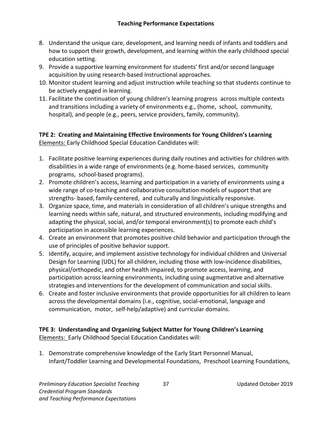- 8. Understand the unique care, development, and learning needs of infants and toddlers and how to support their growth, development, and learning within the early childhood special education setting.
- 9. Provide a supportive learning environment for students' first and/or second language acquisition by using research-based instructional approaches.
- 10. Monitor student learning and adjust instruction while teaching so that students continue to be actively engaged in learning.
- 11. Facilitate the continuation of young children's learning progress across multiple contexts and transitions including a variety of environments e.g., (home, school, community, hospital), and people (e.g., peers, service providers, family, community).

**TPE 2: Creating and Maintaining Effective Environments for Young Children's Learning**  Elements: Early Childhood Special Education Candidates will:

- 1. Facilitate positive learning experiences during daily routines and activities for children with disabilities in a wide range of environments (e.g. home-based services, community programs, school-based programs).
- 2. Promote children's access, learning and participation in a variety of environments using a wide range of co-teaching and collaborative consultation models of support that are strengths- based, family-centered, and culturally and linguistically responsive.
- 3. Organize space, time, and materials in consideration of all children's unique strengths and learning needs within safe, natural, and structured environments, including modifying and adapting the physical, social, and/or temporal environment(s) to promote each child's participation in accessible learning experiences.
- 4. Create an environment that promotes positive child behavior and participation through the use of principles of positive behavior support.
- 5. Identify, acquire, and implement assistive technology for individual children and Universal Design for Learning (UDL) for all children, including those with low-incidence disabilities, physical/orthopedic, and other health impaired, to promote access, learning, and participation across learning environments, including using augmentative and alternative strategies and interventions for the development of communication and social skills.
- 6. Create and foster inclusive environments that provide opportunities for all children to learn across the developmental domains (i.e., cognitive, social-emotional, language and communication, motor, self-help/adaptive) and curricular domains.

#### **TPE 3: Understanding and Organizing Subject Matter for Young Children's Learning**  Elements: Early Childhood Special Education Candidates will:

1. Demonstrate comprehensive knowledge of the Early Start Personnel Manual, Infant/Toddler Learning and Developmental Foundations, Preschool Learning Foundations,

**Preliminary Education Specialist Teaching 37** 37 Updated October 2019 *Credential Program Standards and Teaching Performance Expectations*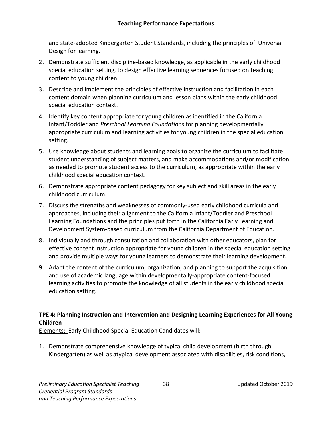and state-adopted Kindergarten Student Standards, including the principles of Universal Design for learning.

- 2. Demonstrate sufficient discipline-based knowledge, as applicable in the early childhood special education setting, to design effective learning sequences focused on teaching content to young children
- 3. Describe and implement the principles of effective instruction and facilitation in each content domain when planning curriculum and lesson plans within the early childhood special education context.
- 4. Identify key content appropriate for young children as identified in the California Infant/Toddler and *Preschool Learning Foundations* for planning developmentally appropriate curriculum and learning activities for young children in the special education setting.
- 5. Use knowledge about students and learning goals to organize the curriculum to facilitate student understanding of subject matters, and make accommodations and/or modification as needed to promote student access to the curriculum, as appropriate within the early childhood special education context.
- 6. Demonstrate appropriate content pedagogy for key subject and skill areas in the early childhood curriculum.
- 7. Discuss the strengths and weaknesses of commonly-used early childhood curricula and approaches, including their alignment to the California Infant/Toddler and Preschool Learning Foundations and the principles put forth in the California Early Learning and Development System-based curriculum from the California Department of Education.
- 8. Individually and through consultation and collaboration with other educators, plan for effective content instruction appropriate for young children in the special education setting and provide multiple ways for young learners to demonstrate their learning development.
- 9. Adapt the content of the curriculum, organization, and planning to support the acquisition and use of academic language within developmentally-appropriate content-focused learning activities to promote the knowledge of all students in the early childhood special education setting.

# **TPE 4: Planning Instruction and Intervention and Designing Learning Experiences for All Young Children**

Elements: Early Childhood Special Education Candidates will:

1. Demonstrate comprehensive knowledge of typical child development (birth through Kindergarten) as well as atypical development associated with disabilities, risk conditions,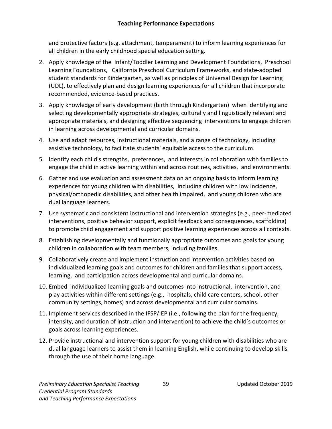#### **Teaching Performance Expectations**

and protective factors (e.g. attachment, temperament) to inform learning experiences for all children in the early childhood special education setting.

- 2. Apply knowledge of the Infant/Toddler Learning and Development Foundations, Preschool Learning Foundations, California Preschool Curriculum Frameworks, and state-adopted student standards for Kindergarten, as well as principles of Universal Design for Learning (UDL), to effectively plan and design learning experiences for all children that incorporate recommended, evidence-based practices.
- 3. Apply knowledge of early development (birth through Kindergarten) when identifying and selecting developmentally appropriate strategies, culturally and linguistically relevant and appropriate materials, and designing effective sequencing interventions to engage children in learning across developmental and curricular domains.
- 4. Use and adapt resources, instructional materials, and a range of technology, including assistive technology, to facilitate students' equitable access to the curriculum.
- 5. Identify each child's strengths, preferences, and interests in collaboration with families to engage the child in active learning within and across routines, activities, and environments.
- 6. Gather and use evaluation and assessment data on an ongoing basis to inform learning experiences for young children with disabilities, including children with low incidence, physical/orthopedic disabilities, and other health impaired, and young children who are dual language learners.
- 7. Use systematic and consistent instructional and intervention strategies (e.g., peer-mediated interventions, positive behavior support, explicit feedback and consequences, scaffolding) to promote child engagement and support positive learning experiences across all contexts.
- 8. Establishing developmentally and functionally appropriate outcomes and goals for young children in collaboration with team members, including families.
- 9. Collaboratively create and implement instruction and intervention activities based on individualized learning goals and outcomes for children and families that support access, learning, and participation across developmental and curricular domains.
- 10. Embed individualized learning goals and outcomes into instructional, intervention, and play activities within different settings (e.g., hospitals, child care centers, school, other community settings, homes) and across developmental and curricular domains.
- 11. Implement services described in the IFSP/IEP (i.e., following the plan for the frequency, intensity, and duration of instruction and intervention) to achieve the child's outcomes or goals across learning experiences.
- 12. Provide instructional and intervention support for young children with disabilities who are dual language learners to assist them in learning English, while continuing to develop skills through the use of their home language.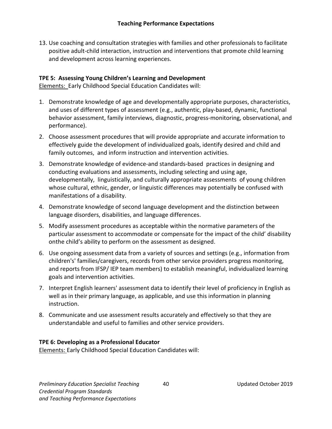13. Use coaching and consultation strategies with families and other professionals to facilitate positive adult-child interaction, instruction and interventions that promote child learning and development across learning experiences.

#### **TPE 5: Assessing Young Children's Learning and Development**

Elements: Early Childhood Special Education Candidates will:

- 1. Demonstrate knowledge of age and developmentally appropriate purposes, characteristics, and uses of different types of assessment (e.g., authentic, play-based, dynamic, functional behavior assessment, family interviews, diagnostic, progress-monitoring, observational, and performance).
- 2. Choose assessment procedures that will provide appropriate and accurate information to effectively guide the development of individualized goals, identify desired and child and family outcomes, and inform instruction and intervention activities.
- 3. Demonstrate knowledge of evidence-and standards-based practices in designing and conducting evaluations and assessments, including selecting and using age, developmentally, linguistically, and culturally appropriate assessments of young children whose cultural, ethnic, gender, or linguistic differences may potentially be confused with manifestations of a disability.
- 4. Demonstrate knowledge of second language development and the distinction between language disorders, disabilities, and language differences.
- 5. Modify assessment procedures as acceptable within the normative parameters of the particular assessment to accommodate or compensate for the impact of the child' disability onthe child's ability to perform on the assessment as designed.
- 6. Use ongoing assessment data from a variety of sources and settings (e.g., information from children's' families/caregivers, records from other service providers progress monitoring, and reports from IFSP/ IEP team members) to establish meaningful, individualized learning goals and intervention activities.
- 7. Interpret English learners' assessment data to identify their level of proficiency in English as well as in their primary language, as applicable, and use this information in planning instruction.
- 8. Communicate and use assessment results accurately and effectively so that they are understandable and useful to families and other service providers.

#### **TPE 6: Developing as a Professional Educator**

Elements: Early Childhood Special Education Candidates will: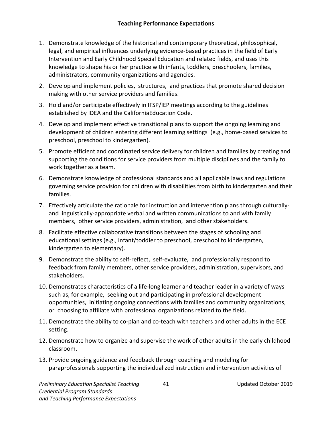- 1. Demonstrate knowledge of the historical and contemporary theoretical, philosophical, legal, and empirical influences underlying evidence-based practices in the field of Early Intervention and Early Childhood Special Education and related fields, and uses this knowledge to shape his or her practice with infants, toddlers, preschoolers, families, administrators, community organizations and agencies.
- 2. Develop and implement policies, structures, and practices that promote shared decision making with other service providers and families.
- 3. Hold and/or participate effectively in IFSP/IEP meetings according to the guidelines established by IDEA and the CaliforniaEducation Code.
- 4. Develop and implement effective transitional plans to support the ongoing learning and development of children entering different learning settings (e.g., home-based services to preschool, preschool to kindergarten).
- 5. Promote efficient and coordinated service delivery for children and families by creating and supporting the conditions for service providers from multiple disciplines and the family to work together as a team.
- 6. Demonstrate knowledge of professional standards and all applicable laws and regulations governing service provision for children with disabilities from birth to kindergarten and their families.
- 7. Effectively articulate the rationale for instruction and intervention plans through culturallyand linguistically-appropriate verbal and written communications to and with family members, other service providers, administration, and other stakeholders.
- 8. Facilitate effective collaborative transitions between the stages of schooling and educational settings (e.g., infant/toddler to preschool, preschool to kindergarten, kindergarten to elementary).
- 9. Demonstrate the ability to self-reflect, self-evaluate, and professionally respond to feedback from family members, other service providers, administration, supervisors, and stakeholders.
- 10. Demonstrates characteristics of a life-long learner and teacher leader in a variety of ways such as, for example, seeking out and participating in professional development opportunities, initiating ongoing connections with families and community organizations, or choosing to affiliate with professional organizations related to the field.
- 11. Demonstrate the ability to co-plan and co-teach with teachers and other adults in the ECE setting.
- 12. Demonstrate how to organize and supervise the work of other adults in the early childhood classroom.
- 13. Provide ongoing guidance and feedback through coaching and modeling for paraprofessionals supporting the individualized instruction and intervention activities of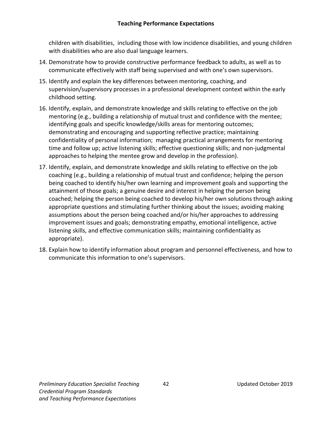children with disabilities, including those with low incidence disabilities, and young children with disabilities who are also dual language learners.

- 14. Demonstrate how to provide constructive performance feedback to adults, as well as to communicate effectively with staff being supervised and with one's own supervisors.
- 15. Identify and explain the key differences between mentoring, coaching, and supervision/supervisory processes in a professional development context within the early childhood setting.
- 16. Identify, explain, and demonstrate knowledge and skills relating to effective on the job mentoring (e.g., building a relationship of mutual trust and confidence with the mentee; identifying goals and specific knowledge/skills areas for mentoring outcomes; demonstrating and encouraging and supporting reflective practice; maintaining confidentiality of personal information; managing practical arrangements for mentoring time and follow up; active listening skills; effective questioning skills; and non-judgmental approaches to helping the mentee grow and develop in the profession).
- 17. Identify, explain, and demonstrate knowledge and skills relating to effective on the job coaching (e.g., building a relationship of mutual trust and confidence; helping the person being coached to identify his/her own learning and improvement goals and supporting the attainment of those goals; a genuine desire and interest in helping the person being coached; helping the person being coached to develop his/her own solutions through asking appropriate questions and stimulating further thinking about the issues; avoiding making assumptions about the person being coached and/or his/her approaches to addressing improvement issues and goals; demonstrating empathy, emotional intelligence, active listening skills, and effective communication skills; maintaining confidentiality as appropriate).
- 18. Explain how to identify information about program and personnel effectiveness, and how to communicate this information to one's supervisors.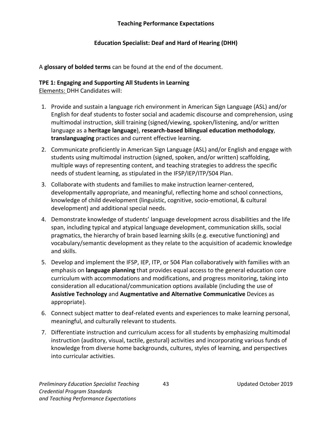#### **Teaching Performance Expectations**

#### **Education Specialist: Deaf and Hard of Hearing (DHH)**

<span id="page-46-0"></span>A **glossary of bolded terms** can be found at the end of the document.

#### **TPE 1: Engaging and Supporting All Students in Learning**

Elements: DHH Candidates will:

- 1. Provide and sustain a language rich environment in American Sign Language (ASL) and/or English for deaf students to foster social and academic discourse and comprehension, using multimodal instruction, skill training (signed/viewing, spoken/listening, and/or written language as a **heritage language**), **research-based bilingual education methodology**, **translanguaging** practices and current effective learning.
- 2. Communicate proficiently in American Sign Language (ASL) and/or English and engage with students using multimodal instruction (signed, spoken, and/or written) scaffolding, multiple ways of representing content, and teaching strategies to address the specific needs of student learning, as stipulated in the IFSP/IEP/ITP/504 Plan.
- 3. Collaborate with students and families to make instruction learner-centered, developmentally appropriate, and meaningful, reflecting home and school connections, knowledge of child development (linguistic, cognitive, socio-emotional, & cultural development) and additional special needs.
- 4. Demonstrate knowledge of students' language development across disabilities and the life span, including typical and atypical language development, communication skills, social pragmatics, the hierarchy of brain based learning skills (e.g. executive functioning) and vocabulary/semantic development as they relate to the acquisition of academic knowledge and skills.
- 5. Develop and implement the IFSP, IEP, ITP, or 504 Plan collaboratively with families with an emphasis on **language planning** that provides equal access to the general education core curriculum with accommodations and modifications, and progress monitoring, taking into consideration all educational/communication options available (including the use of **Assistive Technology** and **Augmentative and Alternative Communicative** Devices as appropriate).
- 6. Connect subject matter to deaf-related events and experiences to make learning personal, meaningful, and culturally relevant to students.
- 7. Differentiate instruction and curriculum access for all students by emphasizing multimodal instruction (auditory, visual, tactile, gestural) activities and incorporating various funds of knowledge from diverse home backgrounds, cultures, styles of learning, and perspectives into curricular activities.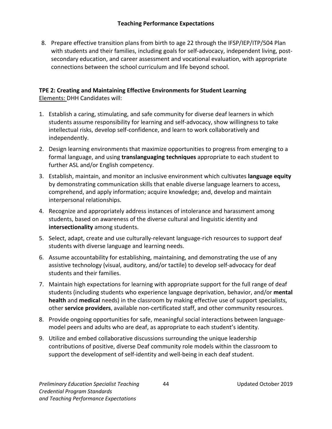8. Prepare effective transition plans from birth to age 22 through the IFSP/IEP/ITP/504 Plan with students and their families, including goals for self-advocacy, independent living, postsecondary education, and career assessment and vocational evaluation, with appropriate connections between the school curriculum and life beyond school.

#### **TPE 2: Creating and Maintaining Effective Environments for Student Learning** Elements: DHH Candidates will:

- 1. Establish a caring, stimulating, and safe community for diverse deaf learners in which students assume responsibility for learning and self-advocacy, show willingness to take intellectual risks, develop self-confidence, and learn to work collaboratively and independently.
- 2. Design learning environments that maximize opportunities to progress from emerging to a formal language, and using **translanguaging techniques** appropriate to each student to further ASL and/or English competency.
- 3. Establish, maintain, and monitor an inclusive environment which cultivates **language equity** by demonstrating communication skills that enable diverse language learners to access, comprehend, and apply information; acquire knowledge; and, develop and maintain interpersonal relationships.
- 4. Recognize and appropriately address instances of intolerance and harassment among students, based on awareness of the diverse cultural and linguistic identity and **intersectionality** among students.
- 5. Select, adapt, create and use culturally-relevant language-rich resources to support deaf students with diverse language and learning needs.
- 6. Assume accountability for establishing, maintaining, and demonstrating the use of any assistive technology (visual, auditory, and/or tactile) to develop self-advocacy for deaf students and their families.
- 7. Maintain high expectations for learning with appropriate support for the full range of deaf students (including students who experience language deprivation, behavior, and/or **mental health** and **medical** needs) in the classroom by making effective use of support specialists, other **service providers**, available non-certificated staff, and other community resources.
- 8. Provide ongoing opportunities for safe, meaningful social interactions between languagemodel peers and adults who are deaf, as appropriate to each student's identity.
- 9. Utilize and embed collaborative discussions surrounding the unique leadership contributions of positive, diverse Deaf community role models within the classroom to support the development of self-identity and well-being in each deaf student.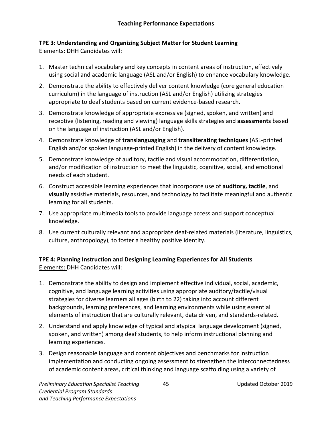#### **TPE 3: Understanding and Organizing Subject Matter for Student Learning** Elements: DHH Candidates will:

- 1. Master technical vocabulary and key concepts in content areas of instruction, effectively using social and academic language (ASL and/or English) to enhance vocabulary knowledge.
- 2. Demonstrate the ability to effectively deliver content knowledge (core general education curriculum) in the language of instruction (ASL and/or English) utilizing strategies appropriate to deaf students based on current evidence-based research.
- 3. Demonstrate knowledge of appropriate expressive (signed, spoken, and written) and receptive (listening, reading and viewing) language skills strategies and **assessments** based on the language of instruction (ASL and/or English).
- 4. Demonstrate knowledge of **translanguaging** and **transliterating techniques** (ASL-printed English and/or spoken language-printed English) in the delivery of content knowledge.
- 5. Demonstrate knowledge of auditory, tactile and visual accommodation, differentiation, and/or modification of instruction to meet the linguistic, cognitive, social, and emotional needs of each student.
- 6. Construct accessible learning experiences that incorporate use of **auditory, tactile**, and **visually** assistive materials, resources, and technology to facilitate meaningful and authentic learning for all students.
- 7. Use appropriate multimedia tools to provide language access and support conceptual knowledge.
- 8. Use current culturally relevant and appropriate deaf-related materials (literature, linguistics, culture, anthropology), to foster a healthy positive identity.

#### **TPE 4: Planning Instruction and Designing Learning Experiences for All Students** Elements: DHH Candidates will:

- 1. Demonstrate the ability to design and implement effective individual, social, academic, cognitive, and language learning activities using appropriate auditory/tactile/visual strategies for diverse learners all ages (birth to 22) taking into account different backgrounds, learning preferences, and learning environments while using essential elements of instruction that are culturally relevant, data driven, and standards-related.
- 2. Understand and apply knowledge of typical and atypical language development (signed, spoken, and written) among deaf students, to help inform instructional planning and learning experiences.
- 3. Design reasonable language and content objectives and benchmarks for instruction implementation and conducting ongoing assessment to strengthen the interconnectedness of academic content areas, critical thinking and language scaffolding using a variety of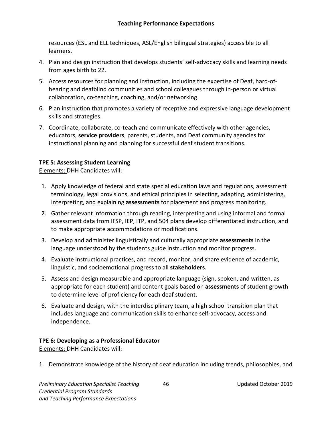#### **Teaching Performance Expectations**

resources (ESL and ELL techniques, ASL/English bilingual strategies) accessible to all learners.

- 4. Plan and design instruction that develops students' self-advocacy skills and learning needs from ages birth to 22.
- 5. Access resources for planning and instruction, including the expertise of Deaf, hard-ofhearing and deafblind communities and school colleagues through in-person or virtual collaboration, co-teaching, coaching, and/or networking.
- 6. Plan instruction that promotes a variety of receptive and expressive language development skills and strategies.
- 7. Coordinate, collaborate, co-teach and communicate effectively with other agencies, educators, **service providers**, parents, students, and Deaf community agencies for instructional planning and planning for successful deaf student transitions.

#### **TPE 5: Assessing Student Learning**

Elements: DHH Candidates will:

- 1. Apply knowledge of federal and state special education laws and regulations, assessment terminology, legal provisions, and ethical principles in selecting, adapting, administering, interpreting, and explaining **assessments** for placement and progress monitoring.
- 2. Gather relevant information through reading, interpreting and using informal and formal assessment data from IFSP, IEP, ITP, and 504 plans develop differentiated instruction, and to make appropriate accommodations or modifications.
- 3. Develop and administer linguistically and culturally appropriate **assessments** in the language understood by the students guide instruction and monitor progress.
- 4. Evaluate instructional practices, and record, monitor, and share evidence of academic, linguistic, and socioemotional progress to all **stakeholders**.
- 5. Assess and design measurable and appropriate language (sign, spoken, and written, as appropriate for each student) and content goals based on **assessments** of student growth to determine level of proficiency for each deaf student.
- 6. Evaluate and design, with the interdisciplinary team, a high school transition plan that includes language and communication skills to enhance self-advocacy, access and independence.

#### **TPE 6: Developing as a Professional Educator**

Elements: DHH Candidates will:

1. Demonstrate knowledge of the history of deaf education including trends, philosophies, and

Preliminary Education Specialist Teaching 16 and 16 and 16 Updated October 2019 *Credential Program Standards and Teaching Performance Expectations*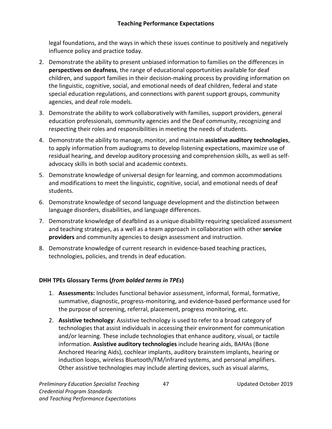#### **Teaching Performance Expectations**

legal foundations, and the ways in which these issues continue to positively and negatively influence policy and practice today.

- 2. Demonstrate the ability to present unbiased information to families on the differences in **perspectives on deafness**, the range of educational opportunities available for deaf children, and support families in their decision-making process by providing information on the linguistic, cognitive, social, and emotional needs of deaf children, federal and state special education regulations, and connections with parent support groups, community agencies, and deaf role models.
- 3. Demonstrate the ability to work collaboratively with families, support providers, general education professionals, community agencies and the Deaf community, recognizing and respecting their roles and responsibilities in meeting the needs of students.
- 4. Demonstrate the ability to manage, monitor, and maintain **assistive auditory technologies**, to apply information from audiograms to develop listening expectations, maximize use of residual hearing, and develop auditory processing and comprehension skills, as well as selfadvocacy skills in both social and academic contexts.
- 5. Demonstrate knowledge of universal design for learning, and common accommodations and modifications to meet the linguistic, cognitive, social, and emotional needs of deaf students.
- 6. Demonstrate knowledge of second language development and the distinction between language disorders, disabilities, and language differences.
- 7. Demonstrate knowledge of deafblind as a unique disability requiring specialized assessment and teaching strategies, as a well as a team approach in collaboration with other **service providers** and community agencies to design assessment and instruction.
- 8. Demonstrate knowledge of current research in evidence-based teaching practices, technologies, policies, and trends in deaf education.

#### **DHH TPEs Glossary Terms (***from bolded terms in TPEs***)**

- 1. **Assessments:** Includes functional behavior assessment, informal, formal, formative, summative, diagnostic, progress-monitoring, and evidence-based performance used for the purpose of screening, referral, placement, progress monitoring, etc.
- 2. **Assistive technology**: Assistive technology is used to refer to a broad category of technologies that assist individuals in accessing their environment for communication and/or learning. These include technologies that enhance auditory, visual, or tactile information. **Assistive auditory technologies** include hearing aids, BAHAs (Bone Anchored Hearing Aids), cochlear implants, auditory brainstem implants, hearing or induction loops, wireless Bluetooth/FM/infrared systems, and personal amplifiers. Other assistive technologies may include alerting devices, such as visual alarms,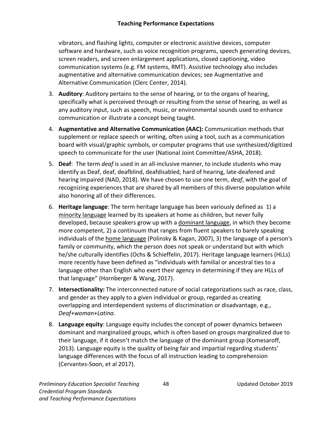vibrators, and flashing lights, computer or electronic assistive devices, computer software and hardware, such as voice recognition programs, speech generating devices, screen readers, and screen enlargement applications, closed captioning, video communication systems (e.g. FM systems, RMT). Assistive technology also includes augmentative and alternative communication devices; see Augmentative and Alternative Communication (Clerc Center, 2014).

- 3. **Auditory**: Auditory pertains to the sense of hearing, or to the organs of hearing, specifically what is perceived through or resulting from the sense of hearing, as well as any auditory input, such as speech, music, or environmental sounds used to enhance communication or illustrate a concept being taught.
- 4. **Augmentative and Alternative Communication (AAC):** Communication methods that supplement or replace speech or writing, often using a tool, such as a communication board with visual/graphic symbols, or computer programs that use synthesized/digitized speech to communicate for the user (National Joint Committee/ASHA, 2018).
- 5. **Deaf**: The term *deaf* is used in an all-inclusive manner, to include students who may identify as Deaf, deaf, deafblind, deafdisabled, hard of hearing, late-deafened and hearing impaired (NAD, 2018). We have chosen to use one term, *deaf*, with the goal of recognizing experiences that are shared by all members of this diverse population while also honoring all of their differences.
- 6. **Heritage language**: The term heritage language has been variously defined as 1) [a](https://en.wikipedia.org/wiki/Minority_language) [minority language](https://en.wikipedia.org/wiki/Minority_language) learned by its speakers at home as children, but never fully developed, because speakers grow up with [a](https://en.wikipedia.org/wiki/Dominant_language) [dominant language,](https://en.wikipedia.org/wiki/Dominant_language) in which they become more competent, 2) a continuum that ranges from fluent speakers to barely speaking individuals of the [home language](https://en.wikipedia.org/wiki/Home_language) (Polinsky & Kagan, 2007), 3) the language of a person's family or community, which the person does not speak or understand but with which he/she culturally identifies (Ochs & Schieffelin, 2017). Heritage language learners (HLLs) more recently have been defined as "individuals with familial or ancestral ties to a language other than English who exert their agency in determining if they are HLLs of that language" (Hornberger & Wang, 2017).
- 7. **Intersectionality:** The interconnected nature of social categorizations such as race, class, and gender as they apply to a given individual or group, regarded as creating overlapping and interdependent systems of discrimination or disadvantage, e.g., *Deaf+woman+Latina*.
- 8. **Language equity**: Language equity includes the concept of power dynamics between dominant and marginalized groups, which is often based on groups marginalized due to their language, if it doesn't match the language of the dominant group (Komesaroff, 2013). Language equity is the quality of being fair and impartial regarding students' language differences with the focus of all instruction leading to comprehension (Cervantes-Soon, et al 2017).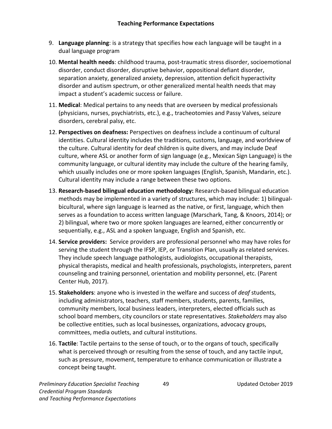- 9. **Language planning**: is a strategy that specifies how each language will be taught in a dual language program
- 10. **Mental health needs**: childhood trauma, post-traumatic stress disorder, socioemotional disorder, conduct disorder, disruptive behavior, oppositional defiant disorder, separation anxiety, generalized anxiety, depression, attention deficit hyperactivity disorder and autism spectrum, or other generalized mental health needs that may impact a student's academic success or failure.
- 11. **Medical**: Medical pertains to any needs that are overseen by medical professionals (physicians, nurses, psychiatrists, etc.), e.g., tracheotomies and Passy Valves, seizure disorders, cerebral palsy, etc.
- 12. **Perspectives on deafness:** Perspectives on deafness include a continuum of cultural identities. Cultural identity includes the traditions, customs, language, and worldview of the culture. Cultural identity for deaf children is quite divers, and may include Deaf culture, where ASL or another form of sign language (e.g., Mexican Sign Language) is the community language, or cultural identity may include the culture of the hearing family, which usually includes one or more spoken languages (English, Spanish, Mandarin, etc.). Cultural identity may include a range between these two options.
- 13. **Research-based bilingual education methodology:** Research-based bilingual education methods may be implemented in a variety of structures, which may include: 1) bilingualbicultural, where sign language [i](https://en.wikipedia.org/wiki/Sign_language)s learned as the native, or first, language, which then serves as a foundation to access written language (Marschark, Tang, & Knoors, 2014); or 2) bilingual, where two or more spoken languages are learned, either concurrently or sequentially, e.g., ASL and a spoken language, English and Spanish, etc.
- 14. **Service providers:** Service providers are professional personnel who may have roles for serving the student through the IFSP, IEP, or Transition Plan, usually as related services. They include speech language pathologists, audiologists, occupational therapists, physical therapists, medical and health professionals, psychologists, interpreters, parent counseling and training personnel, orientation and mobility personnel, etc. (Parent Center Hub, 2017).
- 15. **Stakeholders**: anyone who is invested in the welfare and success of *deaf* students, including administrators, teachers, staff members, students, parents, families, community members, local business leaders, interpreters, elected officials such as school board members, city councilors or state representatives. *Stakeholders* may also be collective entities, such as local businesses, organizations, advocacy groups, committees, media outlets, and cultural institutions.
- 16. **Tactile**: Tactile pertains to the sense of touch, or to the organs of touch, specifically what is perceived through or resulting from the sense of touch, and any tactile input, such as pressure, movement, temperature to enhance communication or illustrate a concept being taught.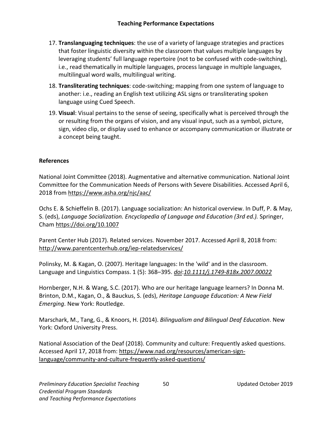- 17. **Translanguaging techniques**: the use of a variety of language strategies and practices that foster linguistic diversity within the classroom that values multiple languages by leveraging students' full language repertoire (not to be confused with code-switching), i.e., read thematically in multiple languages, process language in multiple languages, multilingual word walls, multilingual writing.
- 18. **Transliterating techniques**: code-switching; mapping from one system of language to another: i.e., reading an English text utilizing ASL signs or transliterating spoken language using Cued Speech.
- 19. **Visual**: Visual pertains to the sense of seeing, specifically what is perceived through the or resulting from the organs of vision, and any visual input, such as a symbol, picture, sign, video clip, or display used to enhance or accompany communication or illustrate or a concept being taught.

#### **References**

National Joint Committee (2018). Augmentative and alternative communication. National Joint Committee for the Communication Needs of Persons with Severe Disabilities. Accessed April 6, 2018 from <https://www.asha.org/njc/aac/>

Ochs E. & Schieffelin B. (2017). Language socialization: An historical overview. In Duff, P. & May, S. (eds), *Language Socialization. Encyclopedia of Language and Education (3rd ed.).* Springer, Cha[m https://doi.org/10.1007](https://doi.org/10.1007)

Parent Center Hub (2017). Related services. November 2017. Accessed April 8, 2018 from[:](http://www.parentcenterhub.org/iep-relatedservices/) <http://www.parentcenterhub.org/iep-relatedservices/>

Polinsky, M. & Kagan, O. (2007). Heritage languages: In the 'wild' and in the classroom. Language and Linguistics Compass. 1 (5): 368–395. *[doi](https://en.wikipedia.org/wiki/Digital_object_identifier)*:*[10.1111/j.1749-818x.2007.00022](https://doi.org/10.1111%2Fj.1749-818x.2007.00022.x)*

Hornberger, N.H. & Wang, S.C. (2017). Who are our heritage language learners? In Donna M. Brinton, D.M., Kagan, O., & Bauckus, S. (eds), *Heritage Language Education: A New Field Emerging*. New York: Routledge.

Marschark, M., Tang, G., & Knoors, H. (2014). *Bilingualism and Bilingual Deaf Education*. New York: Oxford University Press.

National Association of the Deaf (2018). Community and culture: Frequently asked questions. Accessed April 17, 2018 from: [https://www.nad.org/resources/american-sign](https://www.nad.org/resources/american-sign-language/community-and-culture-frequently-asked-questions/)[language/community-and-culture-frequently-asked-questions/](https://www.nad.org/resources/american-sign-language/community-and-culture-frequently-asked-questions/)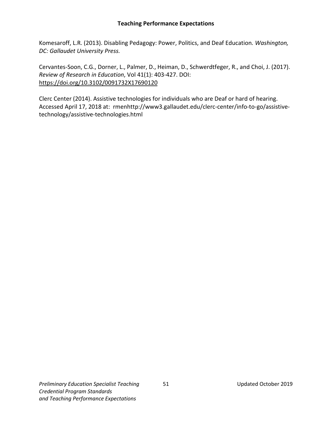#### **Teaching Performance Expectations**

Komesaroff, L.R. (2013). Disabling Pedagogy: Power, Politics, and Deaf Education*. Washington, DC: Gallaudet University Press.*

Cervantes-Soon, C.G., Dorner, L., Palmer, D., Heiman, D., Schwerdtfeger, R., and Choi, J. (2017). *Review of Research in Education*, Vol 41(1): 403-427. DOI[:](https://doi.org/10.3102%2F0091732X17690120) [https://doi.org/10.3102/0091732X17690120](https://doi.org/10.3102%2F0091732X17690120)

Clerc Center (2014). Assistive technologies for individuals who are Deaf or hard of hearing. Accessed April 17, 2018 at[: r](http://www3.gallaudet.edu/clerc-center/info-to-go/assistive-technology/assistive-technologies.html)menhttp://www3.gallaudet.edu/clerc-center/info-to-go/assistivetechnology/assistive-technologies.html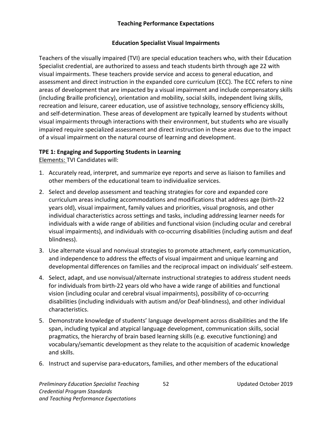#### **Teaching Performance Expectations**

#### **Education Specialist Visual Impairments**

<span id="page-55-0"></span>Teachers of the visually impaired (TVI) are special education teachers who, with their Education Specialist credential, are authorized to assess and teach students birth through age 22 with visual impairments. These teachers provide service and access to general education, and assessment and direct instruction in the expanded core curriculum (ECC). The ECC refers to nine areas of development that are impacted by a visual impairment and include compensatory skills (including Braille proficiency), orientation and mobility, social skills, independent living skills, recreation and leisure, career education, use of assistive technology, sensory efficiency skills, and self-determination. These areas of development are typically learned by students without visual impairments through interactions with their environment, but students who are visually impaired require specialized assessment and direct instruction in these areas due to the impact of a visual impairment on the natural course of learning and development.

#### **TPE 1: Engaging and Supporting Students in Learning**

Elements: TVI Candidates will:

- 1. Accurately read, interpret, and summarize eye reports and serve as liaison to families and other members of the educational team to individualize services.
- 2. Select and develop assessment and teaching strategies for core and expanded core curriculum areas including accommodations and modifications that address age (birth-22 years old), visual impairment, family values and priorities, visual prognosis, and other individual characteristics across settings and tasks, including addressing learner needs for individuals with a wide range of abilities and functional vision (including ocular and cerebral visual impairments), and individuals with co-occurring disabilities (including autism and deaf blindness).
- 3. Use alternate visual and nonvisual strategies to promote attachment, early communication, and independence to address the effects of visual impairment and unique learning and developmental differences on families and the reciprocal impact on individuals' self-esteem.
- 4. Select, adapt, and use nonvisual/alternate instructional strategies to address student needs for individuals from birth-22 years old who have a wide range of abilities and functional vision (including ocular and cerebral visual impairments), possibility of co-occurring disabilities (including individuals with autism and/or Deaf-blindness), and other individual characteristics.
- 5. Demonstrate knowledge of students' language development across disabilities and the life span, including typical and atypical language development, communication skills, social pragmatics, the hierarchy of brain based learning skills (e.g. executive functioning) and vocabulary/semantic development as they relate to the acquisition of academic knowledge and skills.
- 6. Instruct and supervise para-educators, families, and other members of the educational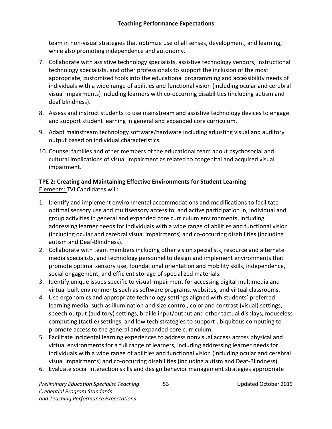team in non-visual strategies that optimize use of all senses, development, and learning, while also promoting independence and autonomy.

- 7. Collaborate with assistive technology specialists, assistive technology vendors, instructional technology specialists, and other professionals to support the inclusion of the most appropriate, customized tools into the educational programming and accessibility needs of individuals with a wide range of abilities and functional vision (including ocular and cerebral visual impairments) including learners with co-occurring disabilities (including autism and deaf blindness).
- 8. Assess and instruct students to use mainstream and assistive technology devices to engage and support student learning in general and expanded core curriculum.
- 9. Adapt mainstream technology software/hardware including adjusting visual and auditory output based on individual characteristics.
- 10. Counsel families and other members of the educational team about psychosocial and cultural implications of visual impairment as related to congenital and acquired visual impairment.

# **TPE 2: Creating and Maintaining Effective Environments for Student Learning**  Elements: TVI Candidates will:

- 1. Identify and implement environmental accommodations and modifications to facilitate optimal sensory use and multisensory access to, and active participation in, individual and group activities in general and expanded core curriculum environments, including addressing learner needs for individuals with a wide range of abilities and functional vision (including ocular and cerebral visual impairments) and co-occurring disabilities (including autism and Deaf-Blindness).
- 2. Collaborate with team members including other vision specialists, resource and alternate media specialists, and technology personnel to design and implement environments that promote optimal sensory use, foundational orientation and mobility skills, independence, social engagement, and efficient storage of specialized materials.
- 3. Identify unique issues specific to visual impairment for accessing digital multimedia and virtual built environments such as software programs, websites, and virtual classrooms.
- 4. Use ergonomics and appropriate technology settings aligned with students' preferred learning media, such as illumination and size control, color and contrast (visual) settings, speech output (auditory) settings, braille input/output and other tactual displays, mouseless computing (tactile) settings, and low tech strategies to support ubiquitous computing to promote access to the general and expanded core curriculum.
- 5. Facilitate incidental learning experiences to address nonvisual access across physical and virtual environments for a full range of learners, including addressing learner needs for individuals with a wide range of abilities and functional vision (including ocular and cerebral visual impairments) and co-occurring disabilities (including autism and Deaf-Blindness).
- 6. Evaluate social interaction skills and design behavior management strategies appropriate

*Preliminary Education Specialist Teaching* 53 Updated October 2019 *Credential Program Standards and Teaching Performance Expectations*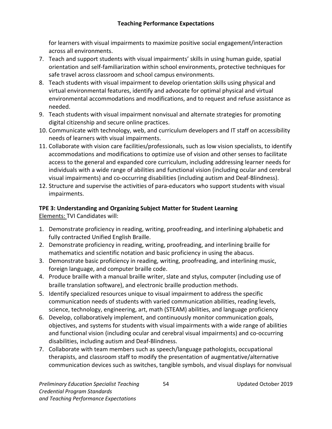for learners with visual impairments to maximize positive social engagement/interaction across all environments.

- 7. Teach and support students with visual impairments' skills in using human guide, spatial orientation and self-familiarization within school environments, protective techniques for safe travel across classroom and school campus environments.
- 8. Teach students with visual impairment to develop orientation skills using physical and virtual environmental features, identify and advocate for optimal physical and virtual environmental accommodations and modifications, and to request and refuse assistance as needed.
- 9. Teach students with visual impairment nonvisual and alternate strategies for promoting digital citizenship and secure online practices.
- 10. Communicate with technology, web, and curriculum developers and IT staff on accessibility needs of learners with visual impairments.
- 11. Collaborate with vision care facilities/professionals, such as low vision specialists, to identify accommodations and modifications to optimize use of vision and other senses to facilitate access to the general and expanded core curriculum, including addressing learner needs for individuals with a wide range of abilities and functional vision (including ocular and cerebral visual impairments) and co-occurring disabilities (including autism and Deaf-Blindness).
- 12. Structure and supervise the activities of para-educators who support students with visual impairments.

# **TPE 3: Understanding and Organizing Subject Matter for Student Learning**

Elements: TVI Candidates will:

- 1. Demonstrate proficiency in reading, writing, proofreading, and interlining alphabetic and fully contracted Unified English Braille.
- 2. Demonstrate proficiency in reading, writing, proofreading, and interlining braille for mathematics and scientific notation and basic proficiency in using the abacus.
- 3. Demonstrate basic proficiency in reading, writing, proofreading, and interlining music, foreign language, and computer braille code.
- 4. Produce braille with a manual braille writer, slate and stylus, computer (including use of braille translation software), and electronic braille production methods.
- 5. Identify specialized resources unique to visual impairment to address the specific communication needs of students with varied communication abilities, reading levels, science, technology, engineering, art, math (STEAM) abilities, and language proficiency
- 6. Develop, collaboratively implement, and continuously monitor communication goals, objectives, and systems for students with visual impairments with a wide range of abilities and functional vision (including ocular and cerebral visual impairments) and co-occurring disabilities, including autism and Deaf-Blindness.
- 7. Collaborate with team members such as speech/language pathologists, occupational therapists, and classroom staff to modify the presentation of augmentative/alternative communication devices such as switches, tangible symbols, and visual displays for nonvisual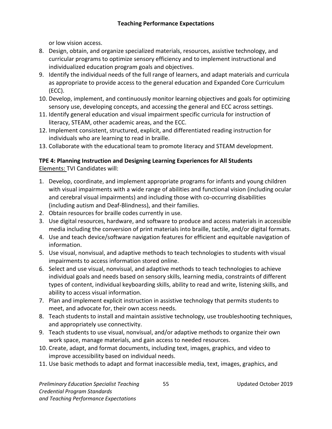or low vision access.

- 8. Design, obtain, and organize specialized materials, resources, assistive technology, and curricular programs to optimize sensory efficiency and to implement instructional and individualized education program goals and objectives.
- 9. Identify the individual needs of the full range of learners, and adapt materials and curricula as appropriate to provide access to the general education and Expanded Core Curriculum (ECC).
- 10. Develop, implement, and continuously monitor learning objectives and goals for optimizing sensory use, developing concepts, and accessing the general and ECC across settings.
- 11. Identify general education and visual impairment specific curricula for instruction of literacy, STEAM, other academic areas, and the ECC.
- 12. Implement consistent, structured, explicit, and differentiated reading instruction for individuals who are learning to read in braille.
- 13. Collaborate with the educational team to promote literacy and STEAM development.

#### **TPE 4: Planning Instruction and Designing Learning Experiences for All Students** Elements: TVI Candidates will:

- 1. Develop, coordinate, and implement appropriate programs for infants and young children with visual impairments with a wide range of abilities and functional vision (including ocular and cerebral visual impairments) and including those with co-occurring disabilities (including autism and Deaf-Blindness), and their families.
- 2. Obtain resources for braille codes currently in use.
- 3. Use digital resources, hardware, and software to produce and access materials in accessible media including the conversion of print materials into braille, tactile, and/or digital formats.
- 4. Use and teach device/software navigation features for efficient and equitable navigation of information.
- 5. Use visual, nonvisual, and adaptive methods to teach technologies to students with visual impairments to access information stored online.
- 6. Select and use visual, nonvisual, and adaptive methods to teach technologies to achieve individual goals and needs based on sensory skills, learning media, constraints of different types of content, individual keyboarding skills, ability to read and write, listening skills, and ability to access visual information.
- 7. Plan and implement explicit instruction in assistive technology that permits students to meet, and advocate for, their own access needs.
- 8. Teach students to install and maintain assistive technology, use troubleshooting techniques, and appropriately use connectivity.
- 9. Teach students to use visual, nonvisual, and/or adaptive methods to organize their own work space, manage materials, and gain access to needed resources.
- 10. Create, adapt, and format documents, including text, images, graphics, and video to improve accessibility based on individual needs.
- 11. Use basic methods to adapt and format inaccessible media, text, images, graphics, and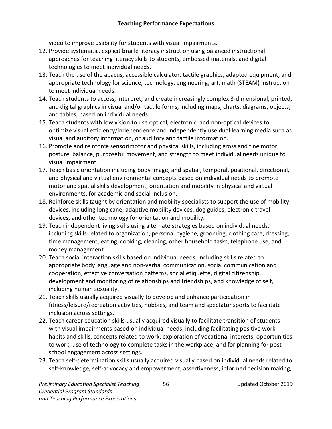video to improve usability for students with visual impairments.

- 12. Provide systematic, explicit braille literacy instruction using balanced instructional approaches for teaching literacy skills to students, embossed materials, and digital technologies to meet individual needs.
- 13. Teach the use of the abacus, accessible calculator, tactile graphics, adapted equipment, and appropriate technology for science, technology, engineering, art, math (STEAM) instruction to meet individual needs.
- 14. Teach students to access, interpret, and create increasingly complex 3-dimensional, printed, and digital graphics in visual and/or tactile forms, including maps, charts, diagrams, objects, and tables, based on individual needs.
- 15. Teach students with low vision to use optical, electronic, and non-optical devices to optimize visual efficiency/independence and independently use dual learning media such as visual and auditory information, or auditory and tactile information.
- 16. Promote and reinforce sensorimotor and physical skills, including gross and fine motor, posture, balance, purposeful movement, and strength to meet individual needs unique to visual impairment.
- 17. Teach basic orientation including body image, and spatial, temporal, positional, directional, and physical and virtual environmental concepts based on individual needs to promote motor and spatial skills development, orientation and mobility in physical and virtual environments, for academic and social inclusion.
- 18. Reinforce skills taught by orientation and mobility specialists to support the use of mobility devices, including long cane, adaptive mobility devices, dog guides, electronic travel devices, and other technology for orientation and mobility.
- 19. Teach independent living skills using alternate strategies based on individual needs, including skills related to organization, personal hygiene, grooming, clothing care, dressing, time management, eating, cooking, cleaning, other household tasks, telephone use, and money management.
- 20. Teach social interaction skills based on individual needs, including skills related to appropriate body language and non-verbal communication, social communication and cooperation, effective conversation patterns, social etiquette, digital citizenship, development and monitoring of relationships and friendships, and knowledge of self, including human sexuality.
- 21. Teach skills usually acquired visually to develop and enhance participation in fitness/leisure/recreation activities, hobbies, and team and spectator sports to facilitate inclusion across settings.
- 22. Teach career education skills usually acquired visually to facilitate transition of students with visual impairments based on individual needs, including facilitating positive work habits and skills, concepts related to work, exploration of vocational interests, opportunities to work, use of technology to complete tasks in the workplace, and for planning for postschool engagement across settings.
- 23. Teach self-determination skills usually acquired visually based on individual needs related to self-knowledge, self-advocacy and empowerment, assertiveness, informed decision making,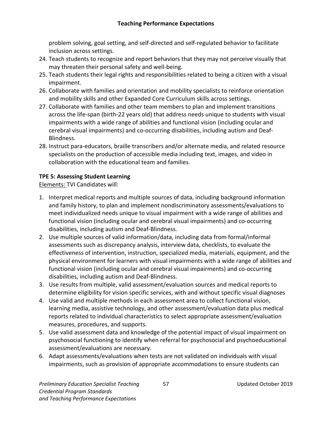problem solving, goal setting, and self-directed and self-regulated behavior to facilitate inclusion across settings.

- 24. Teach students to recognize and report behaviors that they may not perceive visually that may threaten their personal safety and well-being.
- 25. Teach students their legal rights and responsibilities related to being a citizen with a visual impairment.
- 26. Collaborate with families and orientation and mobility specialists to reinforce orientation and mobility skills and other Expanded Core Curriculum skills across settings.
- 27. Collaborate with families and other team members to plan and implement transitions across the life-span (birth-22 years old) that address needs unique to students with visual impairments with a wide range of abilities and functional vision (including ocular and cerebral visual impairments) and co-occurring disabilities, including autism and Deaf-Blindness.
- 28. Instruct para-educators, braille transcribers and/or alternate media, and related resource specialists on the production of accessible media including text, images, and video in collaboration with the educational team and families.

# **TPE 5: Assessing Student Learning**

Elements: TVI Candidates will:

- 1. Interpret medical reports and multiple sources of data, including background information and family history, to plan and implement nondiscriminatory assessments/evaluations to meet individualized needs unique to visual impairment with a wide range of abilities and functional vision (including ocular and cerebral visual impairments) and co-occurring disabilities, including autism and Deaf-Blindness.
- 2. Use multiple sources of valid information/data, including data from formal/informal assessments such as discrepancy analysis, interview data, checklists, to evaluate the effectiveness of intervention, instruction, specialized media, materials, equipment, and the physical environment for learners with visual impairments with a wide range of abilities and functional vision (including ocular and cerebral visual impairments) and co-occurring disabilities, including autism and Deaf-Blindness.
- 3. Use results from multiple, valid assessment/evaluation sources and medical reports to determine eligibility for vision specific services, with and without specific visual diagnoses
- 4. Use valid and multiple methods in each assessment area to collect functional vision, learning media, assistive technology, and other assessment/evaluation data plus medical reports related to individual characteristics to select appropriate assessment/evaluation measures, procedures, and supports.
- 5. Use valid assessment data and knowledge of the potential impact of visual impairment on psychosocial functioning to identify when referral for psychosocial and psychoeducational assessment/evaluations are necessary.
- 6. Adapt assessments/evaluations when tests are not validated on individuals with visual impairments, such as provision of appropriate accommodations to ensure students can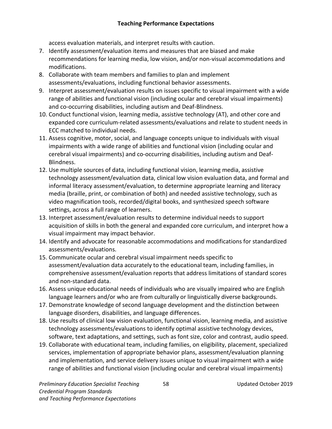access evaluation materials, and interpret results with caution.

- 7. Identify assessment/evaluation items and measures that are biased and make recommendations for learning media, low vision, and/or non-visual accommodations and modifications.
- 8. Collaborate with team members and families to plan and implement assessments/evaluations, including functional behavior assessments.
- 9. Interpret assessment/evaluation results on issues specific to visual impairment with a wide range of abilities and functional vision (including ocular and cerebral visual impairments) and co-occurring disabilities, including autism and Deaf-Blindness.
- 10. Conduct functional vision, learning media, assistive technology (AT), and other core and expanded core curriculum-related assessments/evaluations and relate to student needs in ECC matched to individual needs.
- 11. Assess cognitive, motor, social, and language concepts unique to individuals with visual impairments with a wide range of abilities and functional vision (including ocular and cerebral visual impairments) and co-occurring disabilities, including autism and Deaf-Blindness.
- 12. Use multiple sources of data, including functional vision, learning media, assistive technology assessment/evaluation data, clinical low vision evaluation data, and formal and informal literacy assessment/evaluation, to determine appropriate learning and literacy media (braille, print, or combination of both) and needed assistive technology, such as video magnification tools, recorded/digital books, and synthesized speech software settings, across a full range of learners.
- 13. Interpret assessment/evaluation results to determine individual needs to support acquisition of skills in both the general and expanded core curriculum, and interpret how a visual impairment may impact behavior.
- 14. Identify and advocate for reasonable accommodations and modifications for standardized assessments/evaluations.
- 15. Communicate ocular and cerebral visual impairment needs specific to assessment/evaluation data accurately to the educational team, including families, in comprehensive assessment/evaluation reports that address limitations of standard scores and non-standard data.
- 16. Assess unique educational needs of individuals who are visually impaired who are English language learners and/or who are from culturally or linguistically diverse backgrounds.
- 17. Demonstrate knowledge of second language development and the distinction between language disorders, disabilities, and language differences.
- 18. Use results of clinical low vision evaluation, functional vision, learning media, and assistive technology assessments/evaluations to identify optimal assistive technology devices, software, text adaptations, and settings, such as font size, color and contrast, audio speed.
- 19. Collaborate with educational team, including families, on eligibility, placement, specialized services, implementation of appropriate behavior plans, assessment/evaluation planning and implementation, and service delivery issues unique to visual impairment with a wide range of abilities and functional vision (including ocular and cerebral visual impairments)